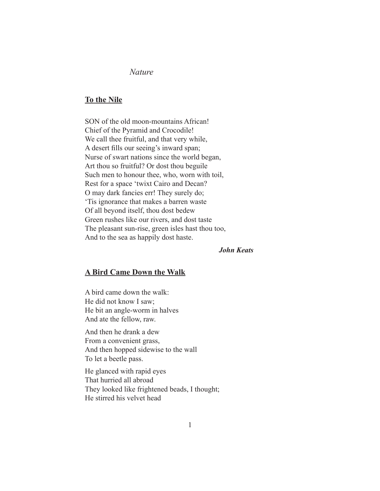## *Nature*

## **To the Nile**

SON of the old moon-mountains African! Chief of the Pyramid and Crocodile! We call thee fruitful, and that very while, A desert fills our seeing's inward span; Nurse of swart nations since the world began, Art thou so fruitful? Or dost thou beguile Such men to honour thee, who, worn with toil, Rest for a space 'twixt Cairo and Decan? O may dark fancies err! They surely do; 'Tis ignorance that makes a barren waste Of all beyond itself, thou dost bedew Green rushes like our rivers, and dost taste The pleasant sun-rise, green isles hast thou too, And to the sea as happily dost haste.

#### *John Keats*

#### **A Bird Came Down the Walk**

A bird came down the walk: He did not know I saw; He bit an angle-worm in halves And ate the fellow, raw.

And then he drank a dew From a convenient grass, And then hopped sidewise to the wall To let a beetle pass.

He glanced with rapid eyes That hurried all abroad They looked like frightened beads, I thought; He stirred his velvet head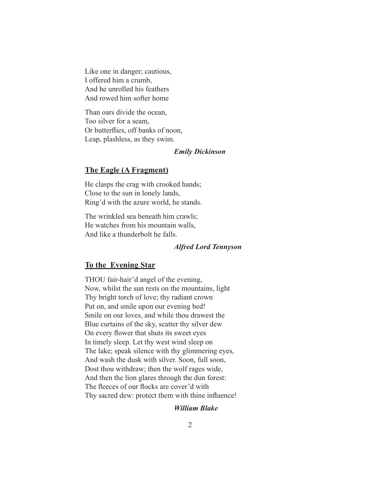Like one in danger; cautious, I offered him a crumb, And he unrolled his feathers And rowed him softer home

Than oars divide the ocean, Too silver for a seam, Or butterflies, off banks of noon, Leap, plashless, as they swim.

## *Emily Dickinson*

#### **The Eagle (A Fragment)**

He clasps the crag with crooked hands; Close to the sun in lonely lands, Ring'd with the azure world, he stands.

The wrinkled sea beneath him crawls; He watches from his mountain walls, And like a thunderbolt he falls.

#### *Alfred Lord Tennyson*

## **To the Evening Star**

THOU fair-hair'd angel of the evening, Now, whilst the sun rests on the mountains, light Thy bright torch of love; thy radiant crown Put on, and smile upon our evening bed! Smile on our loves, and while thou drawest the Blue curtains of the sky, scatter thy silver dew On every flower that shuts its sweet eyes In timely sleep. Let thy west wind sleep on The lake; speak silence with thy glimmering eyes, And wash the dusk with silver. Soon, full soon, Dost thou withdraw; then the wolf rages wide, And then the lion glares through the dun forest: The fleeces of our flocks are cover'd with Thy sacred dew: protect them with thine influence!

#### *William Blake*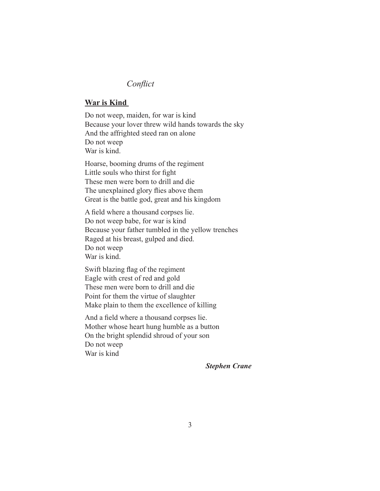## Conflict

#### **War is Kind**

Do not weep, maiden, for war is kind Because your lover threw wild hands towards the sky And the affrighted steed ran on alone Do not weep War is kind.

Hoarse, booming drums of the regiment Little souls who thirst for fight These men were born to drill and die The unexplained glory flies above them Great is the battle god, great and his kingdom

A field where a thousand corpses lie. Do not weep babe, for war is kind Because your father tumbled in the yellow trenches Raged at his breast, gulped and died. Do not weep War is kind.

Swift blazing flag of the regiment Eagle with crest of red and gold These men were born to drill and die Point for them the virtue of slaughter Make plain to them the excellence of killing

And a field where a thousand corpses lie. Mother whose heart hung humble as a button On the bright splendid shroud of your son Do not weep War is kind

*Stephen Crane*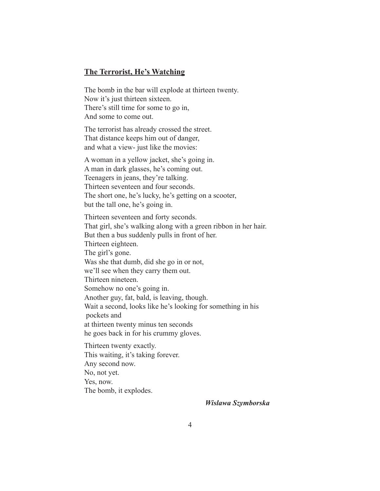## **The Terrorist, He's Watching**

The bomb in the bar will explode at thirteen twenty. Now it's just thirteen sixteen. There's still time for some to go in, And some to come out.

The terrorist has already crossed the street. That distance keeps him out of danger, and what a view- just like the movies:

A woman in a yellow jacket, she's going in. A man in dark glasses, he's coming out. Teenagers in jeans, they're talking. Thirteen seventeen and four seconds. The short one, he's lucky, he's getting on a scooter, but the tall one, he's going in.

Thirteen seventeen and forty seconds. That girl, she's walking along with a green ribbon in her hair. But then a bus suddenly pulls in front of her. Thirteen eighteen. The girl's gone. Was she that dumb, did she go in or not, we'll see when they carry them out. Thirteen nineteen. Somehow no one's going in. Another guy, fat, bald, is leaving, though. Wait a second, looks like he's looking for something in his pockets and at thirteen twenty minus ten seconds he goes back in for his crummy gloves.

Thirteen twenty exactly. This waiting, it's taking forever. Any second now. No, not yet. Yes, now. The bomb, it explodes.

*Wislawa Szymborska*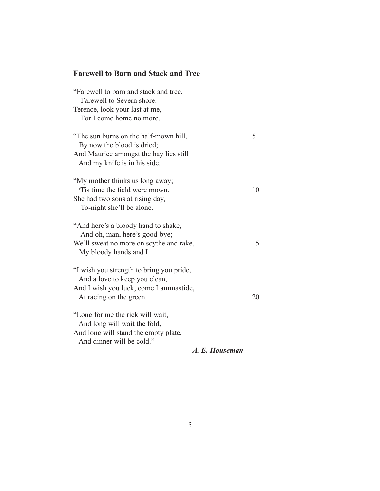# **Farewell to Barn and Stack and Tree**

| "Farewell to barn and stack and tree,<br>Farewell to Severn shore.                                                                            |    |
|-----------------------------------------------------------------------------------------------------------------------------------------------|----|
| Terence, look your last at me,<br>For I come home no more.                                                                                    |    |
| "The sun burns on the half-mown hill,<br>By now the blood is dried;<br>And Maurice amongst the hay lies still<br>And my knife is in his side. | 5  |
| "My mother thinks us long away;<br>The stime the field were mown.<br>She had two sons at rising day,<br>To-night she'll be alone.             | 10 |
| "And here's a bloody hand to shake,<br>And oh, man, here's good-bye;<br>We'll sweat no more on scythe and rake,<br>My bloody hands and I.     | 15 |
| "I wish you strength to bring you pride,<br>And a love to keep you clean,<br>And I wish you luck, come Lammastide,<br>At racing on the green. | 20 |
| "Long for me the rick will wait,<br>And long will wait the fold,<br>And long will stand the empty plate,<br>And dinner will be cold."         |    |

*A. E. Houseman*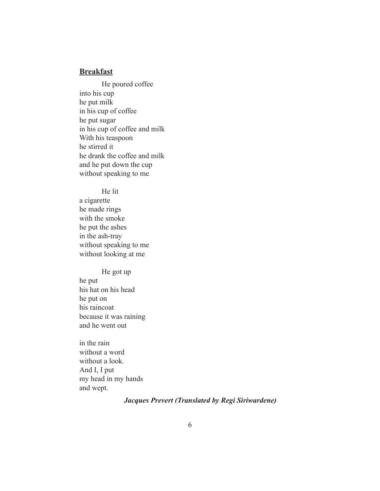## **Breakfast**

 He poured coffee into his cup he put milk in his cup of coffee he put sugar in his cup of coffee and milk With his teaspoon he stirred it he drank the coffee and milk and he put down the cup without speaking to me

## He lit

a cigarette he made rings with the smoke he put the ashes in the ash-tray without speaking to me without looking at me

 He got up he put his hat on his head he put on his raincoat because it was raining and he went out

in the rain without a word without a look. And I, I put my head in my hands and wept.

## *Jacques Prevert (Translated by Regi Siriwardene)*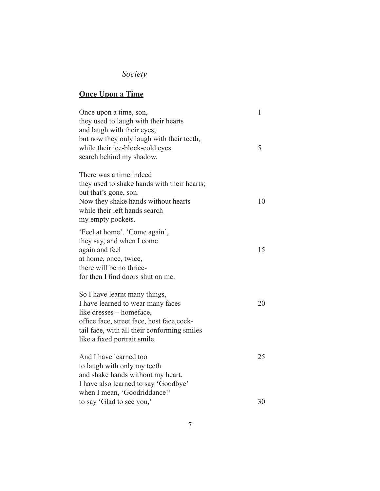# *Society*

## **Once Upon a Time**

| Once upon a time, son,<br>they used to laugh with their hearts<br>and laugh with their eyes;<br>but now they only laugh with their teeth,<br>while their ice-block-cold eyes<br>search behind my shadow.                    | 1<br>5 |
|-----------------------------------------------------------------------------------------------------------------------------------------------------------------------------------------------------------------------------|--------|
| There was a time indeed<br>they used to shake hands with their hearts;<br>but that's gone, son.<br>Now they shake hands without hearts<br>while their left hands search<br>my empty pockets.                                | 10     |
| 'Feel at home'. 'Come again',<br>they say, and when I come<br>again and feel<br>at home, once, twice,<br>there will be no thrice-<br>for then I find doors shut on me.                                                      | 15     |
| So I have learnt many things,<br>I have learned to wear many faces<br>like dresses – homeface,<br>office face, street face, host face, cock-<br>tail face, with all their conforming smiles<br>like a fixed portrait smile. | 20     |
| And I have learned too<br>to laugh with only my teeth<br>and shake hands without my heart.<br>I have also learned to say 'Goodbye'<br>when I mean, 'Goodriddance!'                                                          | 25     |
| to say 'Glad to see you,'                                                                                                                                                                                                   | 30     |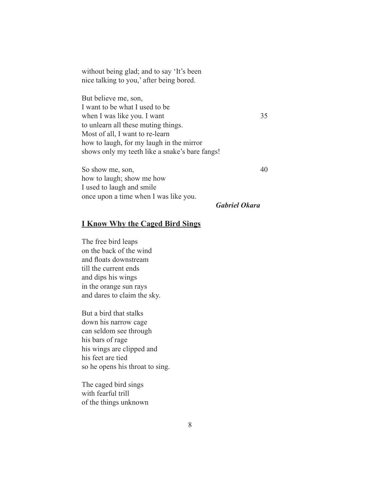without being glad; and to say 'It's been nice talking to you,' after being bored.

But believe me, son, I want to be what I used to be when I was like you. I want 35 to unlearn all these muting things. Most of all, I want to re-learn how to laugh, for my laugh in the mirror shows only my teeth like a snake's bare fangs!

So show me, son, 40 how to laugh; show me how I used to laugh and smile once upon a time when I was like you.

*Gabriel Okara*

## **I Know Why the Caged Bird Sings**

The free bird leaps on the back of the wind and floats downstream till the current ends and dips his wings in the orange sun rays and dares to claim the sky.

But a bird that stalks down his narrow cage can seldom see through his bars of rage his wings are clipped and his feet are tied so he opens his throat to sing.

The caged bird sings with fearful trill of the things unknown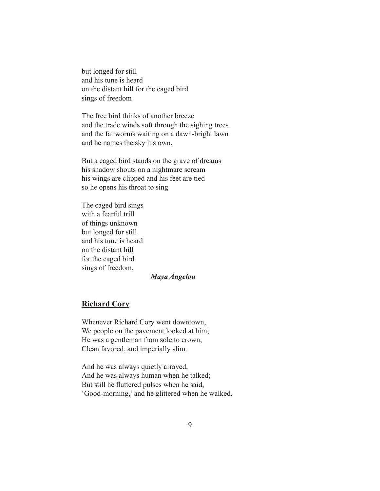but longed for still and his tune is heard on the distant hill for the caged bird sings of freedom

The free bird thinks of another breeze and the trade winds soft through the sighing trees and the fat worms waiting on a dawn-bright lawn and he names the sky his own.

But a caged bird stands on the grave of dreams his shadow shouts on a nightmare scream his wings are clipped and his feet are tied so he opens his throat to sing

The caged bird sings with a fearful trill of things unknown but longed for still and his tune is heard on the distant hill for the caged bird sings of freedom.

#### *Maya Angelou*

## **Richard Cory**

Whenever Richard Cory went downtown, We people on the pavement looked at him; He was a gentleman from sole to crown, Clean favored, and imperially slim.

And he was always quietly arrayed, And he was always human when he talked; But still he fluttered pulses when he said, 'Good-morning,' and he glittered when he walked.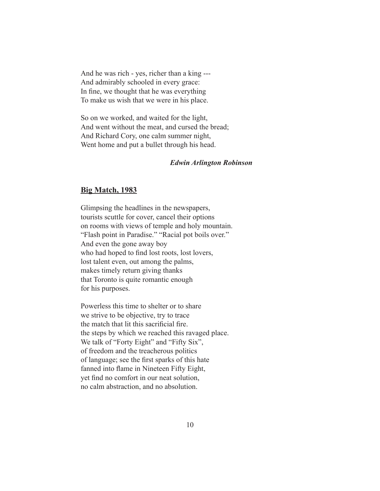And he was rich - yes, richer than a king --- And admirably schooled in every grace: In fine, we thought that he was everything To make us wish that we were in his place.

So on we worked, and waited for the light, And went without the meat, and cursed the bread; And Richard Cory, one calm summer night, Went home and put a bullet through his head.

#### *Edwin Arlington Robinson*

## **Big Match, 1983**

Glimpsing the headlines in the newspapers, tourists scuttle for cover, cancel their options on rooms with views of temple and holy mountain. "Flash point in Paradise." "Racial pot boils over." And even the gone away boy who had hoped to find lost roots, lost lovers, lost talent even, out among the palms, makes timely return giving thanks that Toronto is quite romantic enough for his purposes.

Powerless this time to shelter or to share we strive to be objective, try to trace the match that lit this sacrificial fire. the steps by which we reached this ravaged place. We talk of "Forty Eight" and "Fifty Six", of freedom and the treacherous politics of language; see the first sparks of this hate fanned into flame in Nineteen Fifty Eight, yet find no comfort in our neat solution, no calm abstraction, and no absolution.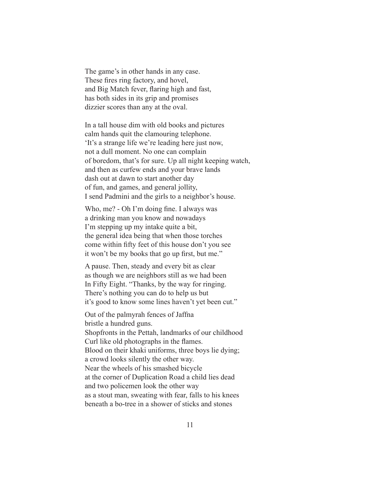The game's in other hands in any case. These fires ring factory, and hovel, and Big Match fever, flaring high and fast, has both sides in its grip and promises dizzier scores than any at the oval.

In a tall house dim with old books and pictures calm hands quit the clamouring telephone. 'It's a strange life we're leading here just now, not a dull moment. No one can complain of boredom, that's for sure. Up all night keeping watch, and then as curfew ends and your brave lands dash out at dawn to start another day of fun, and games, and general jollity, I send Padmini and the girls to a neighbor's house.

Who, me?  $-$  Oh I'm doing fine. I always was a drinking man you know and nowadays I'm stepping up my intake quite a bit, the general idea being that when those torches come within fifty feet of this house don't you see it won't be my books that go up first, but me."

A pause. Then, steady and every bit as clear as though we are neighbors still as we had been In Fifty Eight. "Thanks, by the way for ringing. There's nothing you can do to help us but it's good to know some lines haven't yet been cut."

Out of the palmyrah fences of Jaffna bristle a hundred guns. Shopfronts in the Pettah, landmarks of our childhood Curl like old photographs in the flames. Blood on their khaki uniforms, three boys lie dying; a crowd looks silently the other way. Near the wheels of his smashed bicycle at the corner of Duplication Road a child lies dead and two policemen look the other way as a stout man, sweating with fear, falls to his knees beneath a bo-tree in a shower of sticks and stones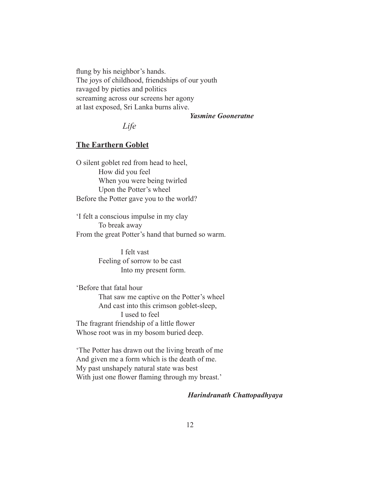flung by his neighbor's hands. The joys of childhood, friendships of our youth ravaged by pieties and politics screaming across our screens her agony at last exposed, Sri Lanka burns alive.

*Yasmine Gooneratne*

*Life*

## **The Earthern Goblet**

O silent goblet red from head to heel, How did you feel When you were being twirled Upon the Potter's wheel Before the Potter gave you to the world?

'I felt a conscious impulse in my clay To break away From the great Potter's hand that burned so warm.

> I felt vast Feeling of sorrow to be cast Into my present form.

'Before that fatal hour That saw me captive on the Potter's wheel And cast into this crimson goblet-sleep, I used to feel The fragrant friendship of a little flower Whose root was in my bosom buried deep.

'The Potter has drawn out the living breath of me And given me a form which is the death of me. My past unshapely natural state was best With just one flower flaming through my breast.'

## *Harindranath Chattopadhyaya*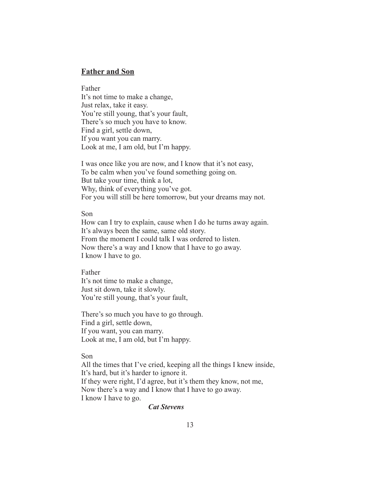## **Father and Son**

Father

It's not time to make a change, Just relax, take it easy. You're still young, that's your fault, There's so much you have to know. Find a girl, settle down, If you want you can marry. Look at me, I am old, but I'm happy.

I was once like you are now, and I know that it's not easy, To be calm when you've found something going on. But take your time, think a lot, Why, think of everything you've got. For you will still be here tomorrow, but your dreams may not.

#### Son

How can I try to explain, cause when I do he turns away again. It's always been the same, same old story. From the moment I could talk I was ordered to listen. Now there's a way and I know that I have to go away. I know I have to go.

#### Father

It's not time to make a change, Just sit down, take it slowly. You're still young, that's your fault,

There's so much you have to go through. Find a girl, settle down, If you want, you can marry. Look at me, I am old, but I'm happy.

#### Son

All the times that I've cried, keeping all the things I knew inside, It's hard, but it's harder to ignore it. If they were right, I'd agree, but it's them they know, not me, Now there's a way and I know that I have to go away. I know I have to go.

#### *Cat Stevens*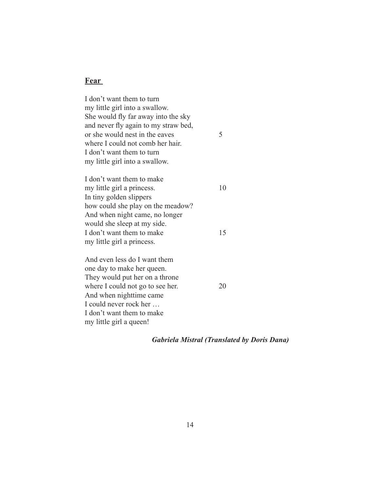## **Fear**

I don't want them to turn my little girl into a swallow. She would fly far away into the sky and never fly again to my straw bed, or she would nest in the eaves 5 where I could not comb her hair. I don't want them to turn my little girl into a swallow.

I don't want them to make my little girl a princess. 10 In tiny golden slippers how could she play on the meadow? And when night came, no longer would she sleep at my side. I don't want them to make 15 my little girl a princess.

And even less do I want them one day to make her queen. They would put her on a throne where I could not go to see her. 20 And when nighttime came I could never rock her … I don't want them to make my little girl a queen!

 *Gabriela Mistral (Translated by Doris Dana)*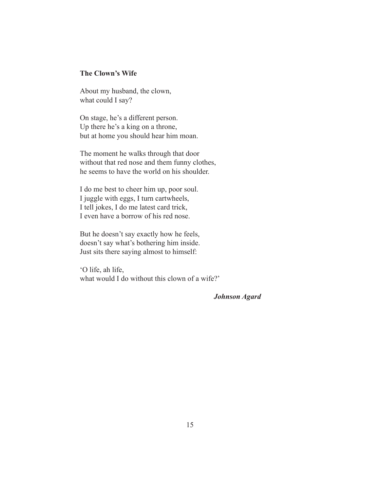## **The Clown's Wife**

About my husband, the clown, what could I say?

On stage, he's a different person. Up there he's a king on a throne, but at home you should hear him moan.

The moment he walks through that door without that red nose and them funny clothes, he seems to have the world on his shoulder.

I do me best to cheer him up, poor soul. I juggle with eggs, I turn cartwheels, I tell jokes, I do me latest card trick, I even have a borrow of his red nose.

But he doesn't say exactly how he feels, doesn't say what's bothering him inside. Just sits there saying almost to himself:

'O life, ah life, what would I do without this clown of a wife?'

 *Johnson Agard*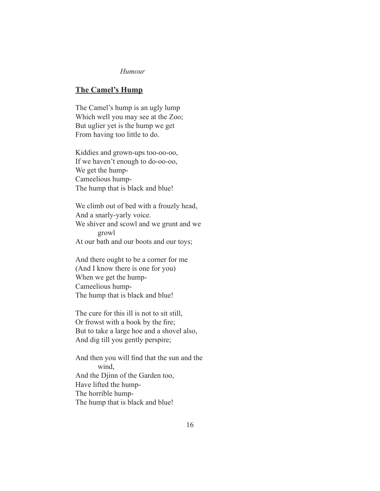#### *Humour*

## **The Camel's Hump**

The Camel's hump is an ugly lump Which well you may see at the Zoo; But uglier yet is the hump we get From having too little to do.

Kiddies and grown-ups too-oo-oo, If we haven't enough to do-oo-oo, We get the hump-Cameelious hump-The hump that is black and blue!

We climb out of bed with a frouzly head, And a snarly-yarly voice. We shiver and scowl and we grunt and we growl At our bath and our boots and our toys;

And there ought to be a corner for me (And I know there is one for you) When we get the hump-Cameelious hump-The hump that is black and blue!

The cure for this ill is not to sit still, Or frowst with a book by the fire; But to take a large hoe and a shovel also, And dig till you gently perspire;

And then you will find that the sun and the wind, And the Djinn of the Garden too, Have lifted the hump-The horrible hump-The hump that is black and blue!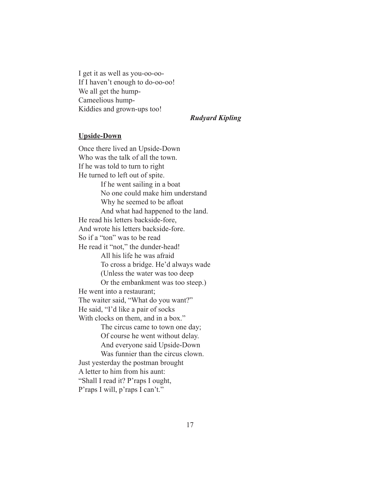I get it as well as you-oo-oo-If I haven't enough to do-oo-oo! We all get the hump-Cameelious hump-Kiddies and grown-ups too!

#### *Rudyard Kipling*

#### **Upside-Down**

Once there lived an Upside-Down Who was the talk of all the town. If he was told to turn to right He turned to left out of spite. If he went sailing in a boat No one could make him understand Why he seemed to be afloat And what had happened to the land. He read his letters backside-fore, And wrote his letters backside-fore. So if a "ton" was to be read He read it "not," the dunder-head! All his life he was afraid To cross a bridge. He'd always wade (Unless the water was too deep Or the embankment was too steep.) He went into a restaurant; The waiter said, "What do you want?" He said, "I'd like a pair of socks With clocks on them, and in a box." The circus came to town one day; Of course he went without delay. And everyone said Upside-Down Was funnier than the circus clown. Just yesterday the postman brought A letter to him from his aunt: "Shall I read it? P'raps I ought, P'raps I will, p'raps I can't."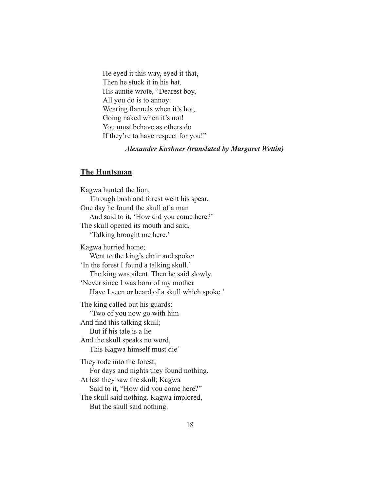He eyed it this way, eyed it that, Then he stuck it in his hat. His auntie wrote, "Dearest boy, All you do is to annoy: Wearing flannels when it's hot, Going naked when it's not! You must behave as others do If they're to have respect for you!"

#### *Alexander Kushner (translated by Margaret Wettin)*

#### **The Huntsman**

Kagwa hunted the lion, Through bush and forest went his spear. One day he found the skull of a man And said to it, 'How did you come here?' The skull opened its mouth and said, 'Talking brought me here.' Kagwa hurried home; Went to the king's chair and spoke: 'In the forest I found a talking skull.' The king was silent. Then he said slowly, 'Never since I was born of my mother Have I seen or heard of a skull which spoke.' The king called out his guards: 'Two of you now go with him And find this talking skull; But if his tale is a lie And the skull speaks no word, This Kagwa himself must die' They rode into the forest: For days and nights they found nothing. At last they saw the skull; Kagwa Said to it, "How did you come here?" The skull said nothing. Kagwa implored, But the skull said nothing.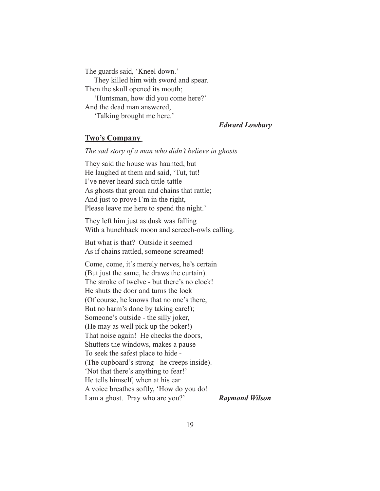The guards said, 'Kneel down.' They killed him with sword and spear. Then the skull opened its mouth; 'Huntsman, how did you come here?' And the dead man answered, 'Talking brought me here.'

#### *Edward Lowbury*

#### **Two's Company**

## The sad story of a man who didn't believe in ghosts

They said the house was haunted, but He laughed at them and said, 'Tut, tut! I've never heard such tittle-tattle As ghosts that groan and chains that rattle; And just to prove I'm in the right, Please leave me here to spend the night.'

They left him just as dusk was falling With a hunchback moon and screech-owls calling.

But what is that? Outside it seemed As if chains rattled, someone screamed!

Come, come, it's merely nerves, he's certain (But just the same, he draws the curtain). The stroke of twelve - but there's no clock! He shuts the door and turns the lock (Of course, he knows that no one's there, But no harm's done by taking care!); Someone's outside - the silly joker, (He may as well pick up the poker!) That noise again! He checks the doors, Shutters the windows, makes a pause To seek the safest place to hide - (The cupboard's strong - he creeps inside). 'Not that there's anything to fear!' He tells himself, when at his ear A voice breathes softly, 'How do you do! I am a ghost. Pray who are you?' *Raymond Wilson*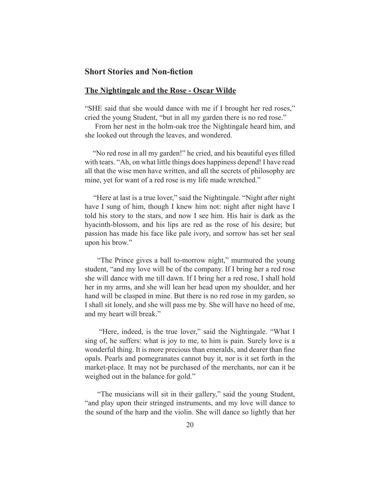## **Short Stories and Non-fiction**

#### **The Nightingale and the Rose - Oscar Wilde**

"SHE said that she would dance with me if I brought her red roses," cried the young Student, "but in all my garden there is no red rose."

 From her nest in the holm-oak tree the Nightingale heard him, and she looked out through the leaves, and wondered.

"No red rose in all my garden!" he cried, and his beautiful eyes filled with tears. "Ah, on what little things does happiness depend! I have read all that the wise men have written, and all the secrets of philosophy are mine, yet for want of a red rose is my life made wretched."

 "Here at last is a true lover," said the Nightingale. "Night after night have I sung of him, though I knew him not: night after night have I told his story to the stars, and now I see him. His hair is dark as the hyacinth-blossom, and his lips are red as the rose of his desire; but passion has made his face like pale ivory, and sorrow has set her seal upon his brow."

 "The Prince gives a ball to-morrow night," murmured the young student, "and my love will be of the company. If I bring her a red rose she will dance with me till dawn. If I bring her a red rose, I shall hold her in my arms, and she will lean her head upon my shoulder, and her hand will be clasped in mine. But there is no red rose in my garden, so I shall sit lonely, and she will pass me by. She will have no heed of me, and my heart will break."

 "Here, indeed, is the true lover," said the Nightingale. "What I sing of, he suffers: what is joy to me, to him is pain. Surely love is a wonderful thing. It is more precious than emeralds, and dearer than fine opals. Pearls and pomegranates cannot buy it, nor is it set forth in the market-place. It may not be purchased of the merchants, nor can it be weighed out in the balance for gold."

 "The musicians will sit in their gallery," said the young Student, "and play upon their stringed instruments, and my love will dance to the sound of the harp and the violin. She will dance so lightly that her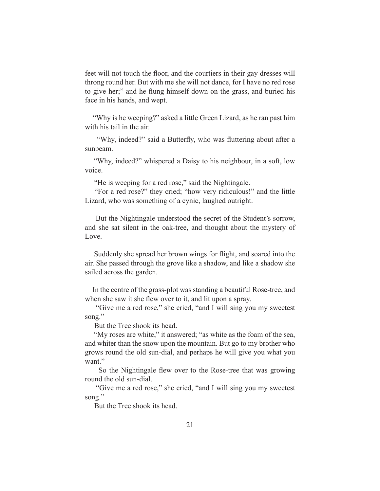feet will not touch the floor, and the courtiers in their gay dresses will throng round her. But with me she will not dance, for I have no red rose to give her;" and he flung himself down on the grass, and buried his face in his hands, and wept.

 "Why is he weeping?" asked a little Green Lizard, as he ran past him with his tail in the air.

"Why, indeed?" said a Butterfly, who was fluttering about after a sunbeam.

 "Why, indeed?" whispered a Daisy to his neighbour, in a soft, low voice.

"He is weeping for a red rose," said the Nightingale.

"For a red rose?" they cried: "how very ridiculous!" and the little Lizard, who was something of a cynic, laughed outright.

 But the Nightingale understood the secret of the Student's sorrow, and she sat silent in the oak-tree, and thought about the mystery of Love.

Suddenly she spread her brown wings for flight, and soared into the air. She passed through the grove like a shadow, and like a shadow she sailed across the garden.

 In the centre of the grass-plot was standing a beautiful Rose-tree, and when she saw it she flew over to it, and lit upon a spray.

 "Give me a red rose," she cried, "and I will sing you my sweetest song."

But the Tree shook its head.

"My roses are white," it answered; "as white as the foam of the sea, and whiter than the snow upon the mountain. But go to my brother who grows round the old sun-dial, and perhaps he will give you what you want."

So the Nightingale flew over to the Rose-tree that was growing round the old sun-dial.

 "Give me a red rose," she cried, "and I will sing you my sweetest song."

But the Tree shook its head.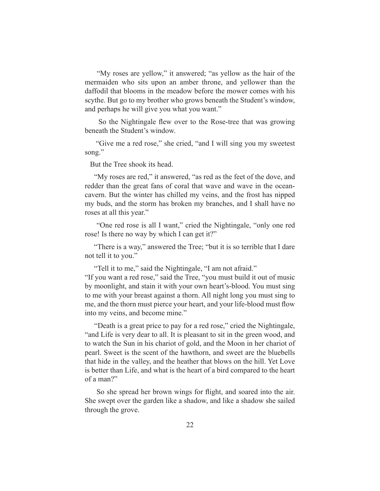"My roses are yellow," it answered; "as yellow as the hair of the mermaiden who sits upon an amber throne, and yellower than the daffodil that blooms in the meadow before the mower comes with his scythe. But go to my brother who grows beneath the Student's window, and perhaps he will give you what you want."

So the Nightingale flew over to the Rose-tree that was growing beneath the Student's window.

 "Give me a red rose," she cried, "and I will sing you my sweetest song."

But the Tree shook its head.

 "My roses are red," it answered, "as red as the feet of the dove, and redder than the great fans of coral that wave and wave in the oceancavern. But the winter has chilled my veins, and the frost has nipped my buds, and the storm has broken my branches, and I shall have no roses at all this year."

 "One red rose is all I want," cried the Nightingale, "only one red rose! Is there no way by which I can get it?"

"There is a way," answered the Tree; "but it is so terrible that I dare" not tell it to you."

"Tell it to me," said the Nightingale, "I am not afraid."

"If you want a red rose," said the Tree, "you must build it out of music by moonlight, and stain it with your own heart's-blood. You must sing to me with your breast against a thorn. All night long you must sing to me, and the thorn must pierce your heart, and your life-blood must flow into my veins, and become mine."

 "Death is a great price to pay for a red rose," cried the Nightingale, "and Life is very dear to all. It is pleasant to sit in the green wood, and to watch the Sun in his chariot of gold, and the Moon in her chariot of pearl. Sweet is the scent of the hawthorn, and sweet are the bluebells that hide in the valley, and the heather that blows on the hill. Yet Love is better than Life, and what is the heart of a bird compared to the heart of a man?"

So she spread her brown wings for flight, and soared into the air. She swept over the garden like a shadow, and like a shadow she sailed through the grove.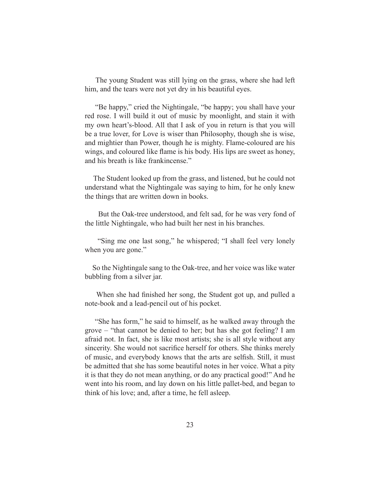The young Student was still lying on the grass, where she had left him, and the tears were not yet dry in his beautiful eyes.

"Be happy," cried the Nightingale, "be happy; you shall have your red rose. I will build it out of music by moonlight, and stain it with my own heart's-blood. All that I ask of you in return is that you will be a true lover, for Love is wiser than Philosophy, though she is wise, and mightier than Power, though he is mighty. Flame-coloured are his wings, and coloured like flame is his body. His lips are sweet as honey, and his breath is like frankincense."

 The Student looked up from the grass, and listened, but he could not understand what the Nightingale was saying to him, for he only knew the things that are written down in books.

 But the Oak-tree understood, and felt sad, for he was very fond of the little Nightingale, who had built her nest in his branches.

"Sing me one last song," he whispered; "I shall feel very lonely when you are gone."

 So the Nightingale sang to the Oak-tree, and her voice was like water bubbling from a silver jar.

When she had finished her song, the Student got up, and pulled a note-book and a lead-pencil out of his pocket.

 "She has form," he said to himself, as he walked away through the grove  $-$  "that cannot be denied to her; but has she got feeling? I am afraid not. In fact, she is like most artists; she is all style without any sincerity. She would not sacrifice herself for others. She thinks merely of music, and everybody knows that the arts are selfish. Still, it must be admitted that she has some beautiful notes in her voice. What a pity it is that they do not mean anything, or do any practical good!" And he went into his room, and lay down on his little pallet-bed, and began to think of his love; and, after a time, he fell as leep.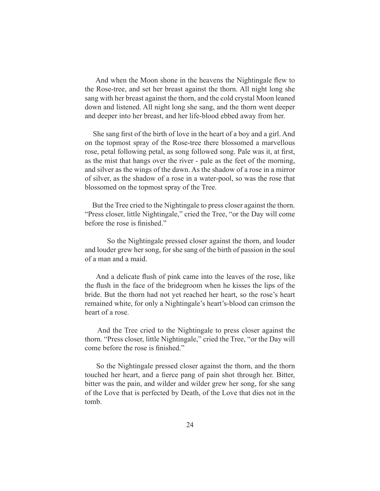And when the Moon shone in the heavens the Nightingale flew to the Rose-tree, and set her breast against the thorn. All night long she sang with her breast against the thorn, and the cold crystal Moon leaned down and listened. All night long she sang, and the thorn went deeper and deeper into her breast, and her life-blood ebbed away from her.

She sang first of the birth of love in the heart of a boy and a girl. And on the topmost spray of the Rose-tree there blossomed a marvellous rose, petal following petal, as song followed song. Pale was it, at first, as the mist that hangs over the river - pale as the feet of the morning, and silver as the wings of the dawn. As the shadow of a rose in a mirror of silver, as the shadow of a rose in a water-pool, so was the rose that blossomed on the topmost spray of the Tree.

 But the Tree cried to the Nightingale to press closer against the thorn. "Press closer, little Nightingale," cried the Tree, "or the Day will come before the rose is finished "

 So the Nightingale pressed closer against the thorn, and louder and louder grew her song, for she sang of the birth of passion in the soul of a man and a maid.

And a delicate flush of pink came into the leaves of the rose, like the flush in the face of the bridegroom when he kisses the lips of the bride. But the thorn had not yet reached her heart, so the rose's heart remained white, for only a Nightingale's heart's-blood can crimson the heart of a rose.

 And the Tree cried to the Nightingale to press closer against the thorn. "Press closer, little Nightingale," cried the Tree, "or the Day will come before the rose is finished."

 So the Nightingale pressed closer against the thorn, and the thorn touched her heart, and a fierce pang of pain shot through her. Bitter, bitter was the pain, and wilder and wilder grew her song, for she sang of the Love that is perfected by Death, of the Love that dies not in the tomb.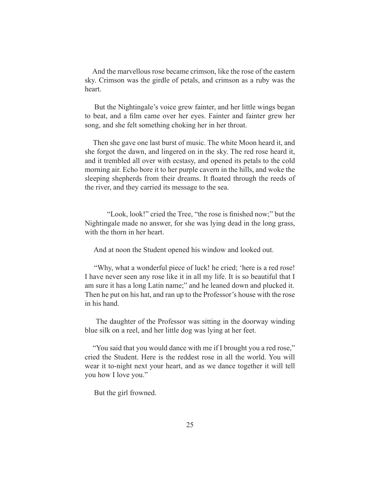And the marvellous rose became crimson, like the rose of the eastern sky. Crimson was the girdle of petals, and crimson as a ruby was the heart.

 But the Nightingale's voice grew fainter, and her little wings began to beat, and a film came over her eyes. Fainter and fainter grew her song, and she felt something choking her in her throat.

 Then she gave one last burst of music. The white Moon heard it, and she forgot the dawn, and lingered on in the sky. The red rose heard it, and it trembled all over with ecstasy, and opened its petals to the cold morning air. Echo bore it to her purple cavern in the hills, and woke the sleeping shepherds from their dreams. It floated through the reeds of the river, and they carried its message to the sea.

"Look, look!" cried the Tree, "the rose is finished now;" but the Nightingale made no answer, for she was lying dead in the long grass, with the thorn in her heart.

And at noon the Student opened his window and looked out.

"Why, what a wonderful piece of luck! he cried; 'here is a red rose! I have never seen any rose like it in all my life. It is so beautiful that I am sure it has a long Latin name;" and he leaned down and plucked it. Then he put on his hat, and ran up to the Professor's house with the rose in his hand.

 The daughter of the Professor was sitting in the doorway winding blue silk on a reel, and her little dog was lying at her feet.

 "You said that you would dance with me if I brought you a red rose," cried the Student. Here is the reddest rose in all the world. You will wear it to-night next your heart, and as we dance together it will tell you how I love you."

But the girl frowned.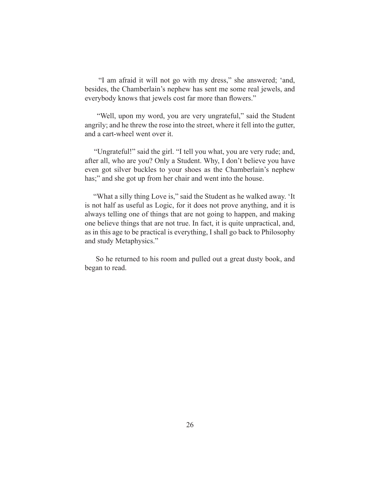"I am afraid it will not go with my dress," she answered; 'and, besides, the Chamberlain's nephew has sent me some real jewels, and everybody knows that jewels cost far more than flowers."

 "Well, upon my word, you are very ungrateful," said the Student angrily; and he threw the rose into the street, where it fell into the gutter, and a cart-wheel went over it.

"Ungrateful!" said the girl. "I tell you what, you are very rude; and, after all, who are you? Only a Student. Why, I don't believe you have even got silver buckles to your shoes as the Chamberlain's nephew has;" and she got up from her chair and went into the house.

 "What a silly thing Love is," said the Student as he walked away. 'It is not half as useful as Logic, for it does not prove anything, and it is always telling one of things that are not going to happen, and making one believe things that are not true. In fact, it is quite unpractical, and, as in this age to be practical is everything, I shall go back to Philosophy and study Metaphysics."

 So he returned to his room and pulled out a great dusty book, and began to read.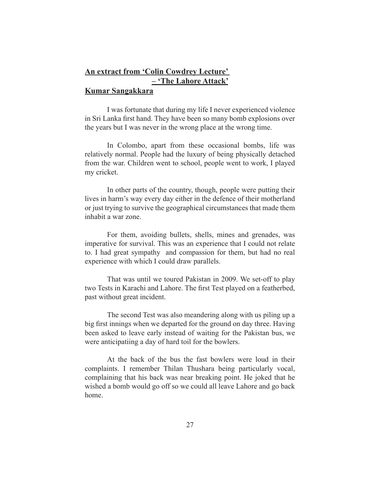## **An extract from 'Colin Cowdrey Lecture' – 'The Lahore Attack'**

## **Kumar Sangakkara**

 I was fortunate that during my life I never experienced violence in Sri Lanka first hand. They have been so many bomb explosions over the years but I was never in the wrong place at the wrong time.

 In Colombo, apart from these occasional bombs, life was relatively normal. People had the luxury of being physically detached from the war. Children went to school, people went to work, I played my cricket.

 In other parts of the country, though, people were putting their lives in harm's way every day either in the defence of their motherland or just trying to survive the geographical circumstances that made them inhabit a war zone.

 For them, avoiding bullets, shells, mines and grenades, was imperative for survival. This was an experience that I could not relate to. I had great sympathy and compassion for them, but had no real experience with which I could draw parallels.

 That was until we toured Pakistan in 2009. We set-off to play two Tests in Karachi and Lahore. The first Test played on a featherbed, past without great incident.

 The second Test was also meandering along with us piling up a big first innings when we departed for the ground on day three. Having been asked to leave early instead of waiting for the Pakistan bus, we were anticipatiing a day of hard toil for the bowlers.

 At the back of the bus the fast bowlers were loud in their complaints. I remember Thilan Thushara being particularly vocal, complaining that his back was near breaking point. He joked that he wished a bomb would go off so we could all leave Lahore and go back home.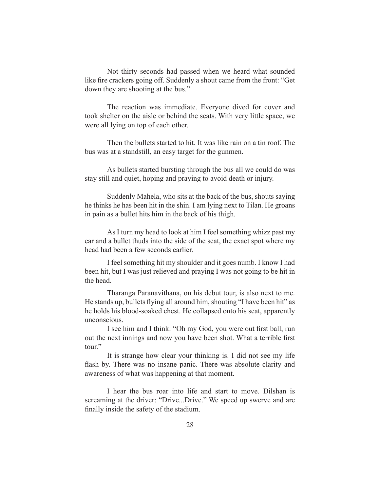Not thirty seconds had passed when we heard what sounded like fire crackers going off. Suddenly a shout came from the front: "Get down they are shooting at the bus."

 The reaction was immediate. Everyone dived for cover and took shelter on the aisle or behind the seats. With very little space, we were all lying on top of each other.

 Then the bullets started to hit. It was like rain on a tin roof. The bus was at a standstill, an easy target for the gunmen.

 As bullets started bursting through the bus all we could do was stay still and quiet, hoping and praying to avoid death or injury.

 Suddenly Mahela, who sits at the back of the bus, shouts saying he thinks he has been hit in the shin. I am lying next to Tilan. He groans in pain as a bullet hits him in the back of his thigh.

 As I turn my head to look at him I feel something whizz past my ear and a bullet thuds into the side of the seat, the exact spot where my head had been a few seconds earlier.

 I feel something hit my shoulder and it goes numb. I know I had been hit, but I was just relieved and praying I was not going to be hit in the head.

 Tharanga Paranavithana, on his debut tour, is also next to me. He stands up, bullets flying all around him, shouting "I have been hit" as he holds his blood-soaked chest. He collapsed onto his seat, apparently unconscious.

I see him and I think: "Oh my God, you were out first ball, run out the next innings and now you have been shot. What a terrible first tour."

 It is strange how clear your thinking is. I did not see my life flash by. There was no insane panic. There was absolute clarity and awareness of what was happening at that moment.

 I hear the bus roar into life and start to move. Dilshan is screaming at the driver: "Drive...Drive." We speed up swerve and are finally inside the safety of the stadium.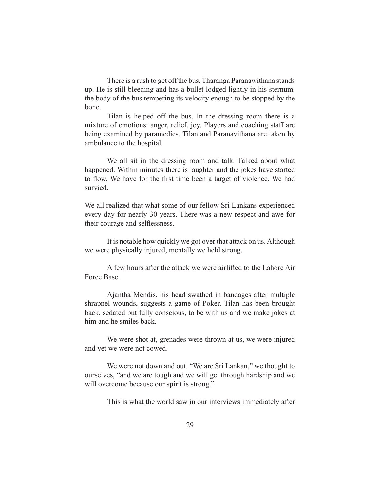There is a rush to get off the bus. Tharanga Paranawithana stands up. He is still bleeding and has a bullet lodged lightly in his sternum, the body of the bus tempering its velocity enough to be stopped by the bone.

 Tilan is helped off the bus. In the dressing room there is a mixture of emotions: anger, relief, joy. Players and coaching staff are being examined by paramedics. Tilan and Paranavithana are taken by ambulance to the hospital.

 We all sit in the dressing room and talk. Talked about what happened. Within minutes there is laughter and the jokes have started to flow. We have for the first time been a target of violence. We had survied.

We all realized that what some of our fellow Sri Lankans experienced every day for nearly 30 years. There was a new respect and awe for their courage and selflessness.

 It is notable how quickly we got over that attack on us. Although we were physically injured, mentally we held strong.

 A few hours after the attack we were airlifted to the Lahore Air Force Base.

 Ajantha Mendis, his head swathed in bandages after multiple shrapnel wounds, suggests a game of Poker. Tilan has been brought back, sedated but fully conscious, to be with us and we make jokes at him and he smiles back.

 We were shot at, grenades were thrown at us, we were injured and yet we were not cowed.

 We were not down and out. "We are Sri Lankan," we thought to ourselves, "and we are tough and we will get through hardship and we will overcome because our spirit is strong."

This is what the world saw in our interviews immediately after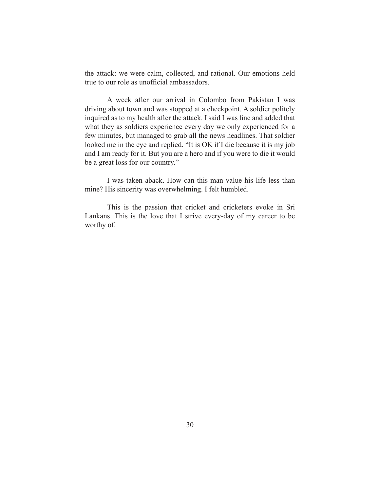the attack: we were calm, collected, and rational. Our emotions held true to our role as unofficial ambassadors

 A week after our arrival in Colombo from Pakistan I was driving about town and was stopped at a checkpoint. A soldier politely inquired as to my health after the attack. I said I was fine and added that what they as soldiers experience every day we only experienced for a few minutes, but managed to grab all the news headlines. That soldier looked me in the eye and replied. "It is OK if I die because it is my job and I am ready for it. But you are a hero and if you were to die it would be a great loss for our country."

 I was taken aback. How can this man value his life less than mine? His sincerity was overwhelming. I felt humbled.

 This is the passion that cricket and cricketers evoke in Sri Lankans. This is the love that I strive every-day of my career to be worthy of.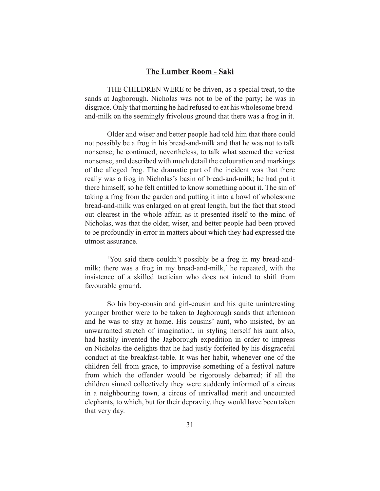## **The Lumber Room - Saki**

 THE CHILDREN WERE to be driven, as a special treat, to the sands at Jagborough. Nicholas was not to be of the party; he was in disgrace. Only that morning he had refused to eat his wholesome breadand-milk on the seemingly frivolous ground that there was a frog in it.

 Older and wiser and better people had told him that there could not possibly be a frog in his bread-and-milk and that he was not to talk nonsense; he continued, nevertheless, to talk what seemed the veriest nonsense, and described with much detail the colouration and markings of the alleged frog. The dramatic part of the incident was that there really was a frog in Nicholas's basin of bread-and-milk; he had put it there himself, so he felt entitled to know something about it. The sin of taking a frog from the garden and putting it into a bowl of wholesome bread-and-milk was enlarged on at great length, but the fact that stood out clearest in the whole affair, as it presented itself to the mind of Nicholas, was that the older, wiser, and better people had been proved to be profoundly in error in matters about which they had expressed the utmost assurance.

 'You said there couldn't possibly be a frog in my bread-andmilk; there was a frog in my bread-and-milk,' he repeated, with the insistence of a skilled tactician who does not intend to shift from favourable ground.

 So his boy-cousin and girl-cousin and his quite uninteresting younger brother were to be taken to Jagborough sands that afternoon and he was to stay at home. His cousins' aunt, who insisted, by an unwarranted stretch of imagination, in styling herself his aunt also, had hastily invented the Jagborough expedition in order to impress on Nicholas the delights that he had justly forfeited by his disgraceful conduct at the breakfast-table. It was her habit, whenever one of the children fell from grace, to improvise something of a festival nature from which the offender would be rigorously debarred; if all the children sinned collectively they were suddenly informed of a circus in a neighbouring town, a circus of unrivalled merit and uncounted elephants, to which, but for their depravity, they would have been taken that very day.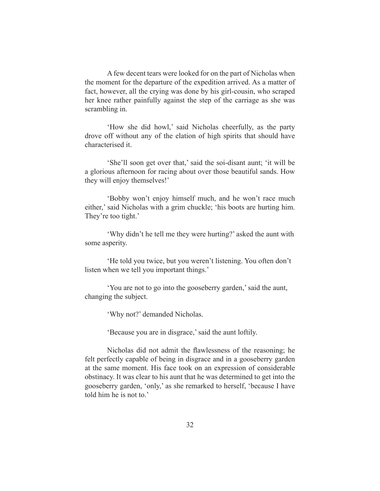A few decent tears were looked for on the part of Nicholas when the moment for the departure of the expedition arrived. As a matter of fact, however, all the crying was done by his girl-cousin, who scraped her knee rather painfully against the step of the carriage as she was scrambling in.

 'How she did howl,' said Nicholas cheerfully, as the party drove off without any of the elation of high spirits that should have characterised it.

'She'll soon get over that,' said the soi-disant aunt; 'it will be a glorious afternoon for racing about over those beautiful sands. How they will enjoy themselves!'

 'Bobby won't enjoy himself much, and he won't race much either,' said Nicholas with a grim chuckle; 'his boots are hurting him. They're too tight.'

 'Why didn't he tell me they were hurting?' asked the aunt with some asperity.

 'He told you twice, but you weren't listening. You often don't listen when we tell you important things.'

 'You are not to go into the gooseberry garden,' said the aunt, changing the subject.

'Why not?' demanded Nicholas.

'Because you are in disgrace,' said the aunt loftily.

Nicholas did not admit the flawlessness of the reasoning; he felt perfectly capable of being in disgrace and in a gooseberry garden at the same moment. His face took on an expression of considerable obstinacy. It was clear to his aunt that he was determined to get into the gooseberry garden, 'only,' as she remarked to herself, 'because I have told him he is not to.<sup>'</sup>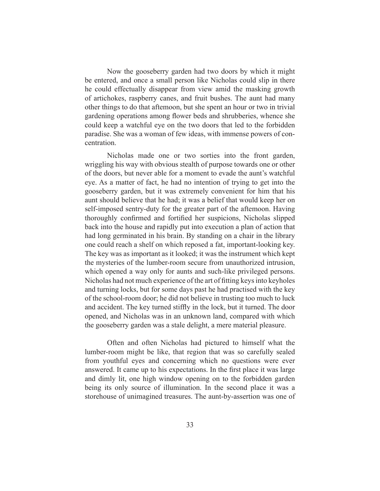Now the gooseberry garden had two doors by which it might be entered, and once a small person like Nicholas could slip in there he could effectually disappear from view amid the masking growth of artichokes, raspberry canes, and fruit bushes. The aunt had many other things to do that aftemoon, but she spent an hour or two in trivial gardening operations among flower beds and shrubberies, whence she could keep a watchful eye on the two doors that led to the forbidden paradise. She was a woman of few ideas, with immense powers of concentration.

 Nicholas made one or two sorties into the front garden, wriggling his way with obvious stealth of purpose towards one or other of the doors, but never able for a moment to evade the aunt's watchful eye. As a matter of fact, he had no intention of trying to get into the gooseberry garden, but it was extremely convenient for him that his aunt should believe that he had; it was a belief that would keep her on self-imposed sentry-duty for the greater part of the aftemoon. Having thoroughly confirmed and fortified her suspicions, Nicholas slipped back into the house and rapidly put into execution a plan of action that had long germinated in his brain. By standing on a chair in the library one could reach a shelf on which reposed a fat, important-looking key. The key was as important as it looked; it was the instrument which kept the mysteries of the lumber-room secure from unauthorized intrusion, which opened a way only for aunts and such-like privileged persons. Nicholas had not much experience of the art of fitting keys into keyholes and turning locks, but for some days past he had practised with the key of the school-room door; he did not believe in trusting too much to luck and accident. The key turned stiffly in the lock, but it turned. The door opened, and Nicholas was in an unknown land, compared with which the gooseberry garden was a stale delight, a mere material pleasure.

 Often and often Nicholas had pictured to himself what the lumber-room might be like, that region that was so carefully sealed from youthful eyes and concerning which no questions were ever answered. It came up to his expectations. In the first place it was large and dimly lit, one high window opening on to the forbidden garden being its only source of illumination. In the second place it was a storehouse of unimagined treasures. The aunt-by-assertion was one of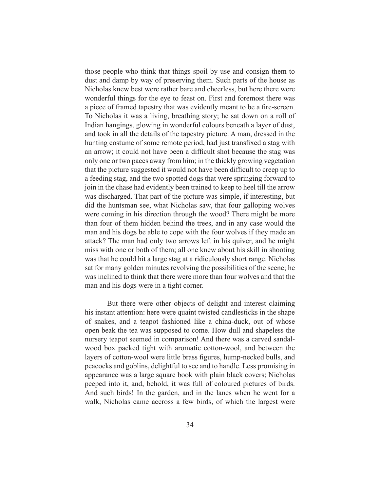those people who think that things spoil by use and consign them to dust and damp by way of preserving them. Such parts of the house as Nicholas knew best were rather bare and cheerless, but here there were wonderful things for the eye to feast on. First and foremost there was a piece of framed tapestry that was evidently meant to be a fire-screen. To Nicholas it was a living, breathing story; he sat down on a roll of Indian hangings, glowing in wonderful colours beneath a layer of dust, and took in all the details of the tapestry picture. A man, dressed in the hunting costume of some remote period, had just transfixed a stag with an arrow; it could not have been a difficult shot because the stag was only one or two paces away from him; in the thickly growing vegetation that the picture suggested it would not have been difficult to creep up to a feeding stag, and the two spotted dogs that were springing forward to join in the chase had evidently been trained to keep to heel till the arrow was discharged. That part of the picture was simple, if interesting, but did the huntsman see, what Nicholas saw, that four galloping wolves were coming in his direction through the wood? There might be more than four of them hidden behind the trees, and in any case would the man and his dogs be able to cope with the four wolves if they made an attack? The man had only two arrows left in his quiver, and he might miss with one or both of them; all one knew about his skill in shooting was that he could hit a large stag at a ridiculously short range. Nicholas sat for many golden minutes revolving the possibilities of the scene; he was inclined to think that there were more than four wolves and that the man and his dogs were in a tight corner.

 But there were other objects of delight and interest claiming his instant attention: here were quaint twisted candlesticks in the shape of snakes, and a teapot fashioned like a china-duck, out of whose open beak the tea was supposed to come. How dull and shapeless the nursery teapot seemed in comparison! And there was a carved sandalwood box packed tight with aromatic cotton-wool, and between the layers of cotton-wool were little brass figures, hump-necked bulls, and peacocks and goblins, delightful to see and to handle. Less promising in appearance was a large square book with plain black covers; Nicholas peeped into it, and, behold, it was full of coloured pictures of birds. And such birds! In the garden, and in the lanes when he went for a walk, Nicholas came accross a few birds, of which the largest were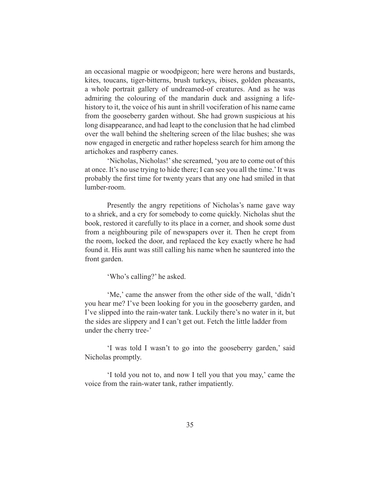an occasional magpie or woodpigeon; here were herons and bustards, kites, toucans, tiger-bitterns, brush turkeys, ibises, golden pheasants, a whole portrait gallery of undreamed-of creatures. And as he was admiring the colouring of the mandarin duck and assigning a lifehistory to it, the voice of his aunt in shrill vociferation of his name came from the gooseberry garden without. She had grown suspicious at his long disappearance, and had leapt to the conclusion that he had climbed over the wall behind the sheltering screen of the lilac bushes; she was now engaged in energetic and rather hopeless search for him among the artichokes and raspberry canes.

 'Nicholas, Nicholas!' she screamed, 'you are to come out of this at once. It's no use trying to hide there; I can see you all the time.' It was probably the first time for twenty years that any one had smiled in that lumber-room.

 Presently the angry repetitions of Nicholas's name gave way to a shriek, and a cry for somebody to come quickly. Nicholas shut the book, restored it carefully to its place in a corner, and shook some dust from a neighbouring pile of newspapers over it. Then he crept from the room, locked the door, and replaced the key exactly where he had found it. His aunt was still calling his name when he sauntered into the front garden.

'Who's calling?' he asked.

 'Me,' came the answer from the other side of the wall, 'didn't you hear me? I've been looking for you in the gooseberry garden, and I've slipped into the rain-water tank. Luckily there's no water in it, but the sides are slippery and I can't get out. Fetch the little ladder from under the cherry tree-'

 'I was told I wasn't to go into the gooseberry garden,' said Nicholas promptly.

 'I told you not to, and now I tell you that you may,' came the voice from the rain-water tank, rather impatiently.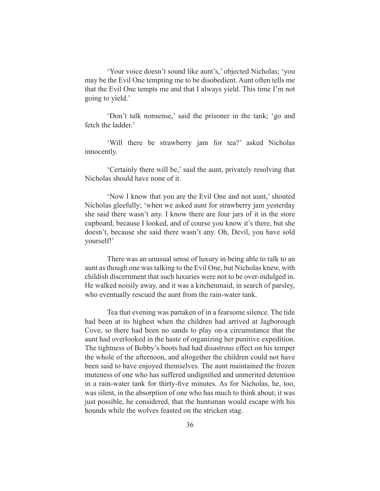'Your voice doesn't sound like aunt's,' objected Nicholas; 'you may be the Evil One tempting me to be disobedient. Aunt often tells me that the Evil One tempts me and that I always yield. This time I'm not going to yield.'

'Don't talk nonsense,' said the prisoner in the tank; 'go and fetch the ladder'

 'Will there be strawberry jam for tea?' asked Nicholas innocently.

 'Certainly there will be,' said the aunt, privately resolving that Nicholas should have none of it.

 'Now I know that you are the Evil One and not aunt,' shouted Nicholas gleefully; 'when we asked aunt for strawberry jam yesterday she said there wasn't any. I know there are four jars of it in the store cupboard, because I looked, and of course you know it's there, but she doesn't, because she said there wasn't any. Oh, Devil, you have sold yourself!'

 There was an unusual sense of luxury in being able to talk to an aunt as though one was talking to the Evil One, but Nicholas knew, with childish discernment that such luxuries were not to be over-indulged in. He walked noisily away, and it was a kitchenmaid, in search of parsley, who eventually rescued the aunt from the rain-water tank.

 Tea that evening was partaken of in a fearsome silence. The tide had been at its highest when the children had arrived at Jagborough Cove, so there had been no sands to play on-a circumstance that the aunt had overlooked in the haste of organizing her punitive expedition. The tightness of Bobby's boots had had disastrous effect on his temper the whole of the afternoon, and altogether the children could not have been said to have enjoyed themselves. The aunt maintained the frozen muteness of one who has suffered undignified and unmerited detention in a rain-water tank for thirty-five minutes. As for Nicholas, he, too, was silent, in the absorption of one who has much to think about; it was just possible, he considered, that the huntsman would escape with his hounds while the wolves feasted on the stricken stag.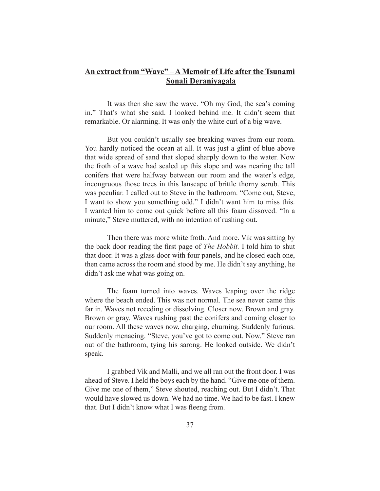# **An extract from "Wave" – A Memoir of Life after the Tsunami Sonali Deraniyagala**

 It was then she saw the wave. "Oh my God, the sea's coming in." That's what she said. I looked behind me. It didn't seem that remarkable. Or alarming. It was only the white curl of a big wave.

 But you couldn't usually see breaking waves from our room. You hardly noticed the ocean at all. It was just a glint of blue above that wide spread of sand that sloped sharply down to the water. Now the froth of a wave had scaled up this slope and was nearing the tall conifers that were halfway between our room and the water's edge, incongruous those trees in this lanscape of brittle thorny scrub. This was peculiar. I called out to Steve in the bathroom. "Come out, Steve, I want to show you something odd." I didn't want him to miss this. I wanted him to come out quick before all this foam dissoved. "In a minute," Steve muttered, with no intention of rushing out.

 Then there was more white froth. And more. Vik was sitting by the back door reading the first page of *The Hobbit*. I told him to shut that door. It was a glass door with four panels, and he closed each one, then came across the room and stood by me. He didn't say anything, he didn't ask me what was going on.

 The foam turned into waves. Waves leaping over the ridge where the beach ended. This was not normal. The sea never came this far in. Waves not receding or dissolving. Closer now. Brown and gray. Brown or gray. Waves rushing past the conifers and coming closer to our room. All these waves now, charging, churning. Suddenly furious. Suddenly menacing. "Steve, you've got to come out. Now." Steve ran out of the bathroom, tying his sarong. He looked outside. We didn't speak.

 I grabbed Vik and Malli, and we all ran out the front door. I was ahead of Steve. I held the boys each by the hand. "Give me one of them. Give me one of them," Steve shouted, reaching out. But I didn't. That would have slowed us down. We had no time. We had to be fast. I knew that. But I didn't know what I was fleeng from.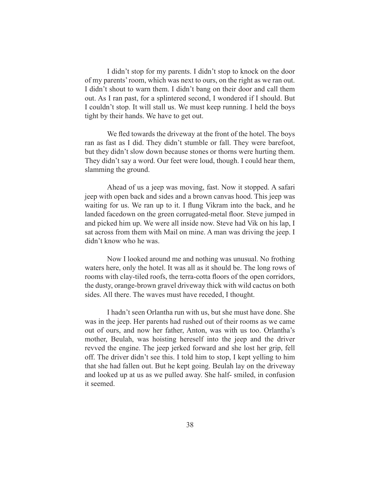I didn't stop for my parents. I didn't stop to knock on the door of my parents' room, which was next to ours, on the right as we ran out. I didn't shout to warn them. I didn't bang on their door and call them out. As I ran past, for a splintered second, I wondered if I should. But I couldn't stop. It will stall us. We must keep running. I held the boys tight by their hands. We have to get out.

We fled towards the driveway at the front of the hotel. The boys ran as fast as I did. They didn't stumble or fall. They were barefoot, but they didn't slow down because stones or thorns were hurting them. They didn't say a word. Our feet were loud, though. I could hear them, slamming the ground.

 Ahead of us a jeep was moving, fast. Now it stopped. A safari jeep with open back and sides and a brown canvas hood. This jeep was waiting for us. We ran up to it. I flung Vikram into the back, and he landed facedown on the green corrugated-metal floor. Steve jumped in and picked him up. We were all inside now. Steve had Vik on his lap, I sat across from them with Mail on mine. A man was driving the jeep. I didn't know who he was.

 Now I looked around me and nothing was unusual. No frothing waters here, only the hotel. It was all as it should be. The long rows of rooms with clay-tiled roofs, the terra-cotta floors of the open corridors, the dusty, orange-brown gravel driveway thick with wild cactus on both sides. All there. The waves must have receded, I thought.

 I hadn't seen Orlantha run with us, but she must have done. She was in the jeep. Her parents had rushed out of their rooms as we came out of ours, and now her father, Anton, was with us too. Orlantha's mother, Beulah, was hoisting hereself into the jeep and the driver revved the engine. The jeep jerked forward and she lost her grip, fell off. The driver didn't see this. I told him to stop, I kept yelling to him that she had fallen out. But he kept going. Beulah lay on the driveway and looked up at us as we pulled away. She half- smiled, in confusion it seemed.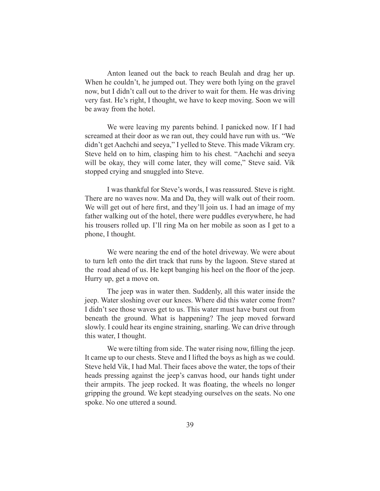Anton leaned out the back to reach Beulah and drag her up. When he couldn't, he jumped out. They were both lying on the gravel now, but I didn't call out to the driver to wait for them. He was driving very fast. He's right, I thought, we have to keep moving. Soon we will be away from the hotel.

 We were leaving my parents behind. I panicked now. If I had screamed at their door as we ran out, they could have run with us. "We didn't get Aachchi and seeya," I yelled to Steve. This made Vikram cry. Steve held on to him, clasping him to his chest. "Aachchi and seeya will be okay, they will come later, they will come," Steve said. Vik stopped crying and snuggled into Steve.

 I was thankful for Steve's words, I was reassured. Steve is right. There are no waves now. Ma and Da, they will walk out of their room. We will get out of here first, and they'll join us. I had an image of my father walking out of the hotel, there were puddles everywhere, he had his trousers rolled up. I'll ring Ma on her mobile as soon as I get to a phone, I thought.

 We were nearing the end of the hotel driveway. We were about to turn left onto the dirt track that runs by the lagoon. Steve stared at the road ahead of us. He kept banging his heel on the floor of the jeep. Hurry up, get a move on.

 The jeep was in water then. Suddenly, all this water inside the jeep. Water sloshing over our knees. Where did this water come from? I didn't see those waves get to us. This water must have burst out from beneath the ground. What is happening? The jeep moved forward slowly. I could hear its engine straining, snarling. We can drive through this water, I thought.

We were tilting from side. The water rising now, filling the jeep. It came up to our chests. Steve and I lifted the boys as high as we could. Steve held Vik, I had Mal. Their faces above the water, the tops of their heads pressing against the jeep's canvas hood, our hands tight under their armpits. The jeep rocked. It was floating, the wheels no longer gripping the ground. We kept steadying ourselves on the seats. No one spoke. No one uttered a sound.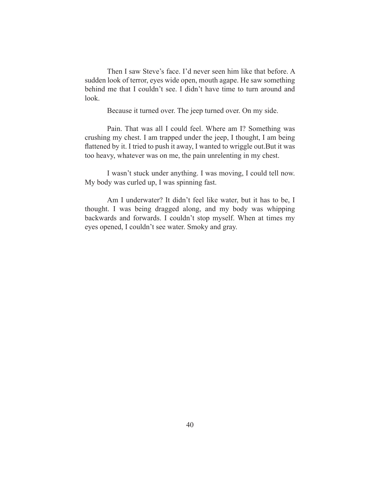Then I saw Steve's face. I'd never seen him like that before. A sudden look of terror, eyes wide open, mouth agape. He saw something behind me that I couldn't see. I didn't have time to turn around and look.

Because it turned over. The jeep turned over. On my side.

 Pain. That was all I could feel. Where am I? Something was crushing my chest. I am trapped under the jeep, I thought, I am being flattened by it. I tried to push it away, I wanted to wriggle out. But it was too heavy, whatever was on me, the pain unrelenting in my chest.

 I wasn't stuck under anything. I was moving, I could tell now. My body was curled up, I was spinning fast.

 Am I underwater? It didn't feel like water, but it has to be, I thought. I was being dragged along, and my body was whipping backwards and forwards. I couldn't stop myself. When at times my eyes opened, I couldn't see water. Smoky and gray.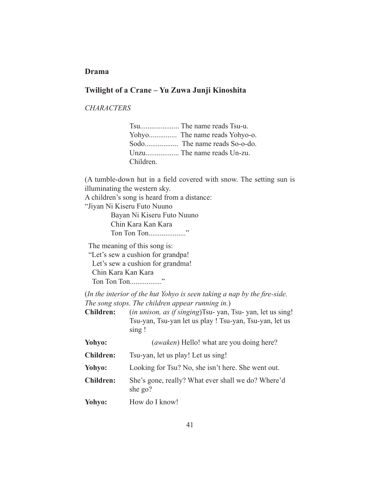# **Drama**

# **Twilight of a Crane – Yu Zuwa Junji Kinoshita**

#### CHARACTERS

|           | Unzu The name reads Un-zu. |
|-----------|----------------------------|
| Children. |                            |

(A tumble-down hut in a field covered with snow. The setting sun is illuminating the western sky.

A children's song is heard from a distance:

"Jiyan Ni Kiseru Futo Nuuno

 Bayan Ni Kiseru Futo Nuuno Chin Kara Kan Kara Ton Ton Ton...................."

The meaning of this song is:

"Let's sew a cushion for grandpa!

Let's sew a cushion for grandma!

Chin Kara Kan Kara

Ton Ton Ton................."

(In the interior of the hut Yohyo is seen taking a nap by the fire-side. *The song stops. The children appear running in.)* 

**Children:** (*in unison, as if singing*)Tsu- yan, Tsu- yan, let us sing! Tsu-yan, Tsu-yan let us play ! Tsu-yan, Tsu-yan, let us sing !

| Yohyo:           | <i>(awaken)</i> Hello! what are you doing here?               |
|------------------|---------------------------------------------------------------|
| <b>Children:</b> | Tsu-yan, let us play! Let us sing!                            |
| Yohyo:           | Looking for Tsu? No, she isn't here. She went out.            |
| <b>Children:</b> | She's gone, really? What ever shall we do? Where'd<br>she go? |
| Yohyo:           | How do I know!                                                |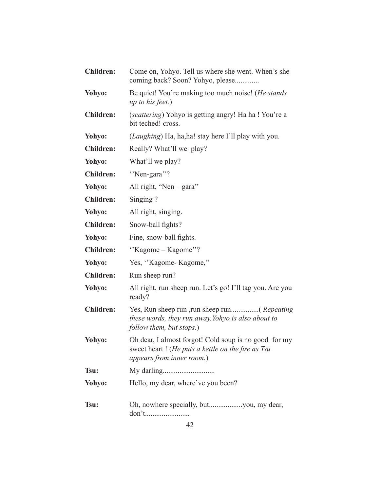| <b>Children:</b> | Come on, Yohyo. Tell us where she went. When's she<br>coming back? Soon? Yohyo, please                                                   |
|------------------|------------------------------------------------------------------------------------------------------------------------------------------|
| Yohyo:           | Be quiet! You're making too much noise! ( <i>He stands</i><br>up to his feet.)                                                           |
| <b>Children:</b> | ( <i>scattering</i> ) Yohyo is getting angry! Ha ha! You're a<br>bit teched! cross.                                                      |
| Yohyo:           | ( <i>Laughing</i> ) Ha, ha, ha! stay here I'll play with you.                                                                            |
| <b>Children:</b> | Really? What'll we play?                                                                                                                 |
| Yohyo:           | What'll we play?                                                                                                                         |
| <b>Children:</b> | "Nen-gara"?                                                                                                                              |
| Yohyo:           | All right, "Nen $-$ gara"                                                                                                                |
| <b>Children:</b> | Singing?                                                                                                                                 |
| Yohyo:           | All right, singing.                                                                                                                      |
| <b>Children:</b> | Snow-ball fights?                                                                                                                        |
| Yohyo:           | Fine, snow-ball fights.                                                                                                                  |
| <b>Children:</b> | "Kagome – Kagome"?                                                                                                                       |
| Yohyo:           | Yes, "Kagome-Kagome,"                                                                                                                    |
| <b>Children:</b> | Run sheep run?                                                                                                                           |
| Yohyo:           | All right, run sheep run. Let's go! I'll tag you. Are you<br>ready?                                                                      |
| <b>Children:</b> | these words, they run away. Yohyo is also about to<br>follow them, but stops.)                                                           |
| Yohyo:           | Oh dear, I almost forgot! Cold soup is no good for my<br>sweet heart ! (He puts a kettle on the fire as Tsu<br>appears from inner room.) |
| Tsu:             |                                                                                                                                          |
| Yohyo:           | Hello, my dear, where've you been?                                                                                                       |
| Tsu:             | Oh, nowhere specially, butyou, my dear,<br>don't                                                                                         |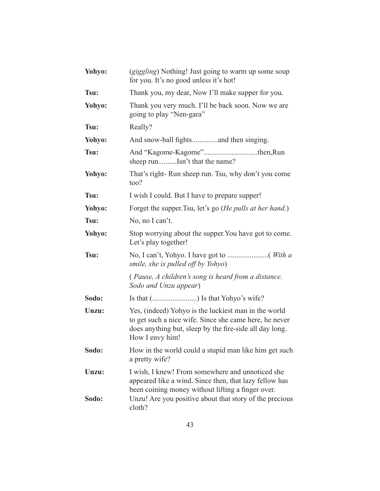| Yohyo: | (giggling) Nothing! Just going to warm up some soup<br>for you. It's no good unless it's hot!                                                                                                |
|--------|----------------------------------------------------------------------------------------------------------------------------------------------------------------------------------------------|
| Tsu:   | Thank you, my dear, Now I'll make supper for you.                                                                                                                                            |
| Yohyo: | Thank you very much. I'll be back soon. Now we are<br>going to play "Nen-gara"                                                                                                               |
| Tsu:   | Really?                                                                                                                                                                                      |
| Yohyo: | And snow-ball fightsand then singing.                                                                                                                                                        |
| Tsu:   | sheep runIsn't that the name?                                                                                                                                                                |
| Yohyo: | That's right-Run sheep run. Tsu, why don't you come<br>too?                                                                                                                                  |
| Tsu:   | I wish I could. But I have to prepare supper!                                                                                                                                                |
| Yohyo: | Forget the supper. Tsu, let's go ( <i>He pulls at her hand.</i> )                                                                                                                            |
| Tsu:   | No, no I can't.                                                                                                                                                                              |
| Yohyo: | Stop worrying about the supper. You have got to come.<br>Let's play together!                                                                                                                |
| Tsu:   | smile, she is pulled off by Yohyo)                                                                                                                                                           |
|        | (Pause, A children's song is heard from a distance.<br>Sodo and Unzu appear)                                                                                                                 |
| Sodo:  | Is that () Is that Yohyo's wife?                                                                                                                                                             |
| Unzu:  | Yes, (indeed) Yohyo is the luckiest man in the world<br>to get such a nice wife. Since she came here, he never<br>does anything but, sleep by the fire-side all day long.<br>How I envy him! |
| Sodo:  | How in the world could a stupid man like him get such<br>a pretty wife?                                                                                                                      |
| Unzu:  | I wish, I knew! From somewhere and unnoticed she<br>appeared like a wind. Since then, that lazy fellow has<br>been coining money without lifting a finger over.                              |
| Sodo:  | Unzu! Are you positive about that story of the precious<br>cloth?                                                                                                                            |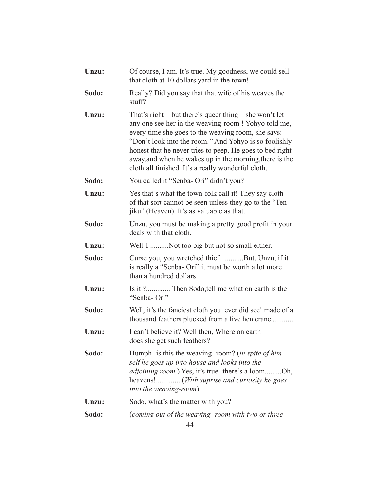| Unzu: | Of course, I am. It's true. My goodness, we could sell<br>that cloth at 10 dollars yard in the town!                                                                                                                                                                                                                                                                                                       |
|-------|------------------------------------------------------------------------------------------------------------------------------------------------------------------------------------------------------------------------------------------------------------------------------------------------------------------------------------------------------------------------------------------------------------|
| Sodo: | Really? Did you say that that wife of his weaves the<br>stuff?                                                                                                                                                                                                                                                                                                                                             |
| Unzu: | That's right – but there's queer thing – she won't let<br>any one see her in the weaving-room ! Yohyo told me,<br>every time she goes to the weaving room, she says:<br>"Don't look into the room." And Yohyo is so foolishly<br>honest that he never tries to peep. He goes to bed right<br>away, and when he wakes up in the morning, there is the<br>cloth all finished. It's a really wonderful cloth. |
| Sodo: | You called it "Senba- Ori" didn't you?                                                                                                                                                                                                                                                                                                                                                                     |
| Unzu: | Yes that's what the town-folk call it! They say cloth<br>of that sort cannot be seen unless they go to the "Ten<br>jiku" (Heaven). It's as valuable as that.                                                                                                                                                                                                                                               |
| Sodo: | Unzu, you must be making a pretty good profit in your<br>deals with that cloth.                                                                                                                                                                                                                                                                                                                            |
| Unzu: | Well-I  Not too big but not so small either.                                                                                                                                                                                                                                                                                                                                                               |
| Sodo: | Curse you, you wretched thiefBut, Unzu, if it<br>is really a "Senba- Ori" it must be worth a lot more<br>than a hundred dollars.                                                                                                                                                                                                                                                                           |
| Unzu: | Is it ? Then Sodo, tell me what on earth is the<br>"Senba-Ori"                                                                                                                                                                                                                                                                                                                                             |
| Sodo: | Well, it's the fanciest cloth you ever did see! made of a<br>thousand feathers plucked from a live hen crane                                                                                                                                                                                                                                                                                               |
| Unzu: | I can't believe it? Well then, Where on earth<br>does she get such feathers?                                                                                                                                                                                                                                                                                                                               |
| Sodo: | Humph- is this the weaving-room? (in spite of him<br>self he goes up into house and looks into the<br><i>adjoining room.</i> ) Yes, it's true- there's a loomOh,<br>heavens! (With suprise and curiosity he goes<br><i>into the weaving-room</i> )                                                                                                                                                         |
| Unzu: | Sodo, what's the matter with you?                                                                                                                                                                                                                                                                                                                                                                          |
| Sodo: | (coming out of the weaving-room with two or three                                                                                                                                                                                                                                                                                                                                                          |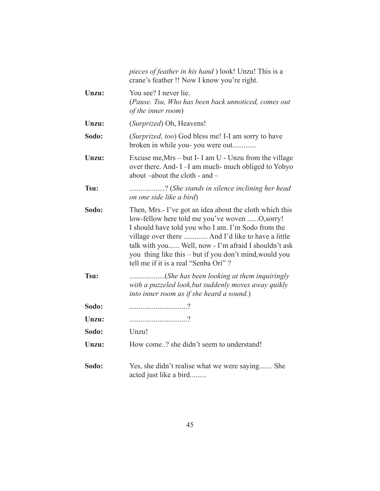|       | <i>pieces of feather in his hand</i> ) look! Unzu! This is a<br>crane's feather !! Now I know you're right.                                                                                                                                                                                                                                                                   |
|-------|-------------------------------------------------------------------------------------------------------------------------------------------------------------------------------------------------------------------------------------------------------------------------------------------------------------------------------------------------------------------------------|
| Unzu: | You see? I never lie.<br>(Pause. Tsu, Who has been back unnoticed, comes out<br>of the inner room)                                                                                                                                                                                                                                                                            |
| Unzu: | (Surprized) Oh, Heavens!                                                                                                                                                                                                                                                                                                                                                      |
| Sodo: | (Surprized, too) God bless me! I-I am sorry to have<br>broken in while you- you were out                                                                                                                                                                                                                                                                                      |
| Unzu: | Excuse me, Mrs $-$ but I- I am U - Unzu from the village<br>over there. And- I -I am much- much obliged to Yohyo<br>about -- about the cloth - and --                                                                                                                                                                                                                         |
| Tsu:  | ? (She stands in silence inclining her head<br>on one side like a bird)                                                                                                                                                                                                                                                                                                       |
| Sodo: | Then, Mrs.-I've got an idea about the cloth which this<br>low-fellow here told me you've woven O, sorry!<br>I should have told you who I am. I'm Sodo from the<br>village over there  And I'd like to have a little<br>talk with you Well, now - I'm afraid I shouldn't ask<br>you thing like this – but if you don't mind, would you<br>tell me if it is a real "Senba Ori"? |
| Tsu:  | (She has been looking at them inquiringly<br>with a puzzeled look, but suddenly moves away quikly<br>into inner room as if she heard a sound.)                                                                                                                                                                                                                                |
| Sodo: |                                                                                                                                                                                                                                                                                                                                                                               |
| Unzu: |                                                                                                                                                                                                                                                                                                                                                                               |
| Sodo: | Unzu!                                                                                                                                                                                                                                                                                                                                                                         |
| Unzu: | How come? she didn't seem to understand!                                                                                                                                                                                                                                                                                                                                      |
| Sodo: | Yes, she didn't realise what we were saying She<br>acted just like a bird                                                                                                                                                                                                                                                                                                     |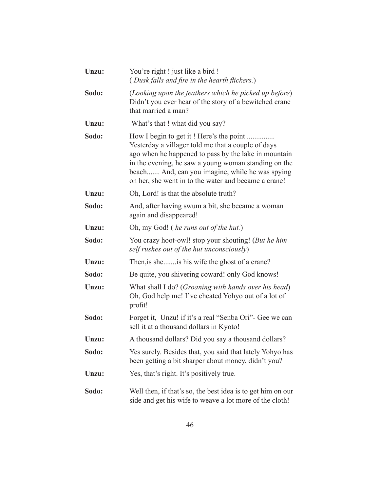| Unzu: | You're right ! just like a bird !<br>(Dusk falls and fire in the hearth flickers.)                                                                                                                                                                                                                                        |
|-------|---------------------------------------------------------------------------------------------------------------------------------------------------------------------------------------------------------------------------------------------------------------------------------------------------------------------------|
| Sodo: | (Looking upon the feathers which he picked up before)<br>Didn't you ever hear of the story of a bewitched crane<br>that married a man?                                                                                                                                                                                    |
| Unzu: | What's that ! what did you say?                                                                                                                                                                                                                                                                                           |
| Sodo: | How I begin to get it ! Here's the point<br>Yesterday a villager told me that a couple of days<br>ago when he happened to pass by the lake in mountain<br>in the evening, he saw a young woman standing on the<br>beach And, can you imagine, while he was spying<br>on her, she went in to the water and became a crane! |
| Unzu: | Oh, Lord! is that the absolute truth?                                                                                                                                                                                                                                                                                     |
| Sodo: | And, after having swum a bit, she became a woman<br>again and disappeared!                                                                                                                                                                                                                                                |
| Unzu: | Oh, my God! ( <i>he runs out of the hut.</i> )                                                                                                                                                                                                                                                                            |
| Sodo: | You crazy hoot-owl! stop your shouting! (But he him<br>self rushes out of the hut unconsciously)                                                                                                                                                                                                                          |
| Unzu: | Then, is she is his wife the ghost of a crane?                                                                                                                                                                                                                                                                            |
| Sodo: | Be quite, you shivering coward! only God knows!                                                                                                                                                                                                                                                                           |
| Unzu: | What shall I do? (Groaning with hands over his head)<br>Oh, God help me! I've cheated Yohyo out of a lot of<br>profit!                                                                                                                                                                                                    |
| Sodo: | Forget it, Unzu! if it's a real "Senba Ori" - Gee we can<br>sell it at a thousand dollars in Kyoto!                                                                                                                                                                                                                       |
| Unzu: | A thousand dollars? Did you say a thousand dollars?                                                                                                                                                                                                                                                                       |
| Sodo: | Yes surely. Besides that, you said that lately Yohyo has<br>been getting a bit sharper about money, didn't you?                                                                                                                                                                                                           |
| Unzu: | Yes, that's right. It's positively true.                                                                                                                                                                                                                                                                                  |
| Sodo: | Well then, if that's so, the best idea is to get him on our<br>side and get his wife to weave a lot more of the cloth!                                                                                                                                                                                                    |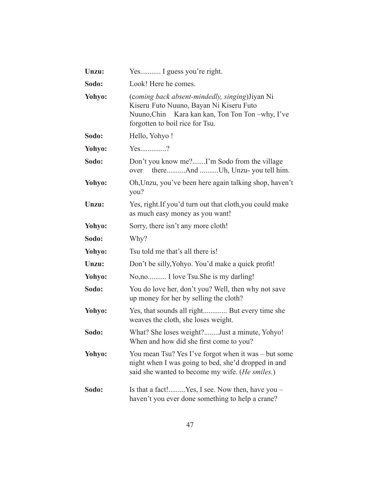| Unzu:  | Yes I guess you're right.                                                                                                                                                         |
|--------|-----------------------------------------------------------------------------------------------------------------------------------------------------------------------------------|
| Sodo:  | Look! Here he comes.                                                                                                                                                              |
| Yohyo: | (coming back absent-mindedly, singing) Jiyan Ni<br>Kiseru Futo Nuuno, Bayan Ni Kiseru Futo<br>Nuuno, Chin Kara kan kan, Ton Ton Ton -why, I've<br>forgotten to boil rice for Tsu. |
| Sodo:  | Hello, Yohyo!                                                                                                                                                                     |
| Yohyo: | $Yes$ <sub>2</sub>                                                                                                                                                                |
| Sodo:  | Don't you know me?I'm Sodo from the village<br>over thereAnd Uh, Unzu-you tell him.                                                                                               |
| Yohyo: | Oh, Unzu, you've been here again talking shop, haven't<br>you?                                                                                                                    |
| Unzu:  | Yes, right. If you'd turn out that cloth, you could make<br>as much easy money as you want!                                                                                       |
| Yohyo: | Sorry, there isn't any more cloth!                                                                                                                                                |
| Sodo:  | Why?                                                                                                                                                                              |
| Yohyo: | Tsu told me that's all there is!                                                                                                                                                  |
| Unzu:  | Don't be silly, Yohyo. You'd make a quick profit!                                                                                                                                 |
| Yohyo: | No, no I love Tsu. She is my darling!                                                                                                                                             |
| Sodo:  | You do love her, don't you? Well, then why not save<br>up money for her by selling the cloth?                                                                                     |
| Yohyo: | Yes, that sounds all right But every time she<br>weaves the cloth, she loses weight.                                                                                              |
| Sodo:  | What? She loses weight?Just a minute, Yohyo!<br>When and how did she first come to you?                                                                                           |
| Yohyo: | You mean Tsu? Yes I've forgot when it was – but some<br>night when I was going to bed, she'd dropped in and<br>said she wanted to become my wife. (He smiles.)                    |
| Sodo:  | Is that a fact!Yes, I see. Now then, have you –<br>haven't you ever done something to help a crane?                                                                               |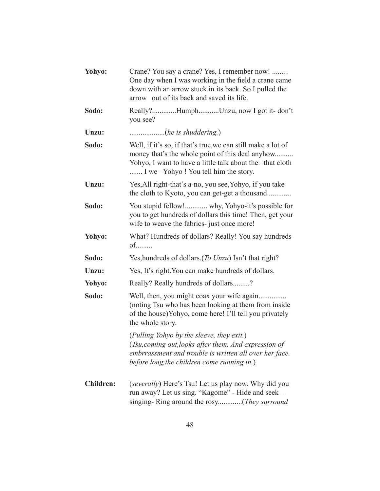| Yohyo:           | Crane? You say a crane? Yes, I remember now!<br>One day when I was working in the field a crane came<br>down with an arrow stuck in its back. So I pulled the<br>arrow out of its back and saved its life.             |
|------------------|------------------------------------------------------------------------------------------------------------------------------------------------------------------------------------------------------------------------|
| Sodo:            | Really?HumphUnzu, now I got it-don't<br>you see?                                                                                                                                                                       |
| Unzu:            | $\ldots$ (he is shuddering.)                                                                                                                                                                                           |
| Sodo:            | Well, if it's so, if that's true, we can still make a lot of<br>money that's the whole point of this deal anyhow<br>Yohyo, I want to have a little talk about the -that cloth<br>I we –Yohyo ! You tell him the story. |
| Unzu:            | Yes, All right-that's a-no, you see, Yohyo, if you take<br>the cloth to Kyoto, you can get-get a thousand                                                                                                              |
| Sodo:            | You stupid fellow! why, Yohyo-it's possible for<br>you to get hundreds of dollars this time! Then, get your<br>wife to weave the fabrics- just once more!                                                              |
| Yohyo:           | What? Hundreds of dollars? Really! You say hundreds<br>$of$                                                                                                                                                            |
| Sodo:            | Yes, hundreds of dollars. (To Unzu) Isn't that right?                                                                                                                                                                  |
| Unzu:            | Yes, It's right. You can make hundreds of dollars.                                                                                                                                                                     |
| Yohyo:           | Really? Really hundreds of dollars?                                                                                                                                                                                    |
| Sodo:            | (noting Tsu who has been looking at them from inside<br>of the house) Yohyo, come here! I'll tell you privately<br>the whole story.                                                                                    |
|                  | (Pulling Yohyo by the sleeve, they exit.)<br>(Tsu, coming out, looks after them. And expression of<br>embrrassment and trouble is written all over her face.<br>before long, the children come running in.)            |
| <b>Children:</b> | (severally) Here's Tsu! Let us play now. Why did you<br>run away? Let us sing. "Kagome" - Hide and seek –<br>singing-Ring around the rosy(They surround                                                                |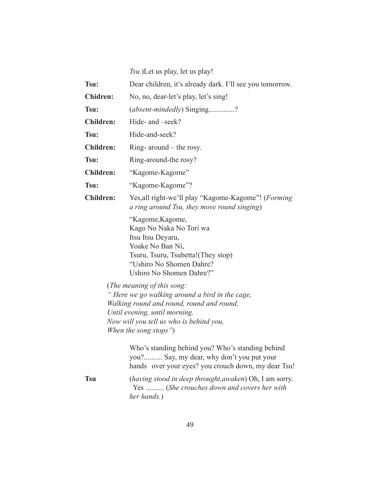*Tsu.*)Let us play, let us play!

| Tsu:                                                                                                                                                                                                                           | Dear children, it's already dark. I'll see you tomorrow.                                                                                                                            |
|--------------------------------------------------------------------------------------------------------------------------------------------------------------------------------------------------------------------------------|-------------------------------------------------------------------------------------------------------------------------------------------------------------------------------------|
| <b>Chidren:</b>                                                                                                                                                                                                                | No, no, dear-let's play, let's sing!                                                                                                                                                |
| Tsu:                                                                                                                                                                                                                           | (absent-mindedly) Singing?                                                                                                                                                          |
| <b>Children:</b>                                                                                                                                                                                                               | Hide- and -seek?                                                                                                                                                                    |
| Tsu:                                                                                                                                                                                                                           | Hide-and-seek?                                                                                                                                                                      |
| <b>Children:</b>                                                                                                                                                                                                               | Ring- $around - the rosy.$                                                                                                                                                          |
| Tsu:                                                                                                                                                                                                                           | Ring-around-the rosy?                                                                                                                                                               |
| <b>Children:</b>                                                                                                                                                                                                               | "Kagome-Kagome"                                                                                                                                                                     |
| Tsu:                                                                                                                                                                                                                           | "Kagome-Kagome"?                                                                                                                                                                    |
| <b>Children:</b>                                                                                                                                                                                                               | Yes, all right-we'll play "Kagome-Kagome"! (Forming<br>a ring around Tsu, they move round singing)                                                                                  |
|                                                                                                                                                                                                                                | "Kagome, Kagome,<br>Kago No Naka No Tori wa<br>Itsu Itsu Deyaru,<br>Yoake No Ban Ni,<br>Tsuru, Tsuru, Tsubetta! (They stop)<br>"Ushiro No Shomen Dahre?<br>Ushiro No Shomen Dahre?" |
| (The meaning of this song:<br>"Here we go walking around a bird in the cage,<br>Walking round and round, round and round,<br>Until evening, until morning.<br>Now will you tell us who is behind you,<br>When the song stops") |                                                                                                                                                                                     |
|                                                                                                                                                                                                                                | Who's standing behind you? Who's standing behind<br>you? Say, my dear, why don't you put your<br>hands over your eyes? you crouch down, my dear Tsu!                                |
| <b>Tsu</b>                                                                                                                                                                                                                     | (having stood in deep throught, awaken) Oh, I am sorry.<br>Yes  (She crouches down and covers her with<br>her hands.)                                                               |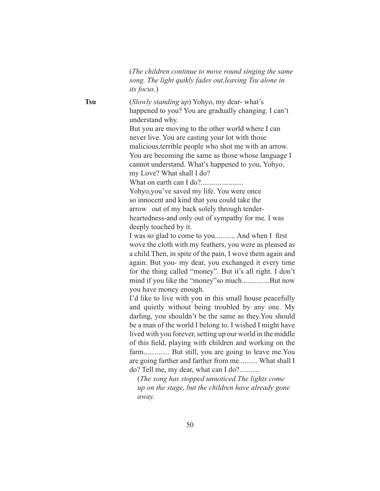(*The children continue to move round singing the same song. The light quikly fades out, leaving Tsu alone in its focus.*)

**Tsu** (*Slowly standing up*) Yohyo, my dear- what's happened to you? You are gradually changing. I can't understand why.

> But you are moving to the other world where I can never live. You are casting your lot with those malicious,terrible people who shot me with an arrow. You are becoming the same as those whose language I cannot understand. What's happened to you, Yohyo, my Love? What shall I do?

What on earth can I do?.......................

 Yohyo,you've saved my life. You were once so innocent and kind that you could take the arrow out of my back solely through tender heartedness-and only out of sympathy for me. I was deeply touched by it.

I was so glad to come to you............ And when I first wove the cloth with my feathers, you were as pleased as a child.Then, in spite of the pain, I wove them again and again. But you- my dear, you exchanged it every time for the thing called "money". But it's all right. I don't mind if you like the "money"so much...............But now you have money enough.

 I'd like to live with you in this small house peacefully and quietly without being troubled by any one. My darling, you shouldn't be the same as they.You should be a man of the world I belong to. I wished I might have lived with you forever, setting up our world in the middle of this field, playing with children and working on the farm.............. But still, you are going to leave me.You are going farther and farther from me.......... What shall I do? Tell me, my dear, what can I do?...........

(*The song has stopped unnoticed. The lights come up* on the stage, but the children have already gone  *away.*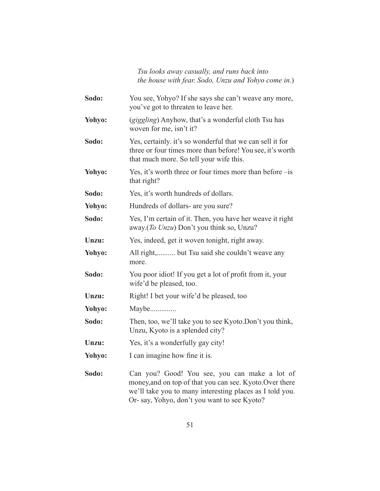*Tsu looks away casually, and runs back into the house with fear. Sodo, Unzu and Yohyo come in.)* 

| Sodo:  | You see, Yohyo? If she says she can't weave any more,<br>you've got to threaten to leave her.                                                                                                                        |
|--------|----------------------------------------------------------------------------------------------------------------------------------------------------------------------------------------------------------------------|
| Yohyo: | (giggling) Anyhow, that's a wonderful cloth Tsu has<br>woven for me, isn't it?                                                                                                                                       |
| Sodo:  | Yes, certainly. it's so wonderful that we can sell it for<br>three or four times more than before! You see, it's worth<br>that much more. So tell your wife this.                                                    |
| Yohyo: | Yes, it's worth three or four times more than before -is<br>that right?                                                                                                                                              |
| Sodo:  | Yes, it's worth hundreds of dollars.                                                                                                                                                                                 |
| Yohyo: | Hundreds of dollars- are you sure?                                                                                                                                                                                   |
| Sodo:  | Yes, I'm certain of it. Then, you have her weave it right<br>away.(To Unzu) Don't you think so, Unzu?                                                                                                                |
| Unzu:  | Yes, indeed, get it woven tonight, right away.                                                                                                                                                                       |
| Yohyo: | All right, but Tsu said she couldn't weave any<br>more.                                                                                                                                                              |
| Sodo:  | You poor idiot! If you get a lot of profit from it, your<br>wife'd be pleased, too.                                                                                                                                  |
| Unzu:  | Right! I bet your wife'd be pleased, too                                                                                                                                                                             |
| Yohyo: | Maybe                                                                                                                                                                                                                |
| Sodo:  | Then, too, we'll take you to see Kyoto.Don't you think,<br>Unzu, Kyoto is a splended city?                                                                                                                           |
| Unzu:  | Yes, it's a wonderfully gay city!                                                                                                                                                                                    |
| Yohyo: | I can imagine how fine it is.                                                                                                                                                                                        |
| Sodo:  | Can you? Good! You see, you can make a lot of<br>money, and on top of that you can see. Kyoto. Over there<br>we'll take you to many interesting places as I told you.<br>Or-say, Yohyo, don't you want to see Kyoto? |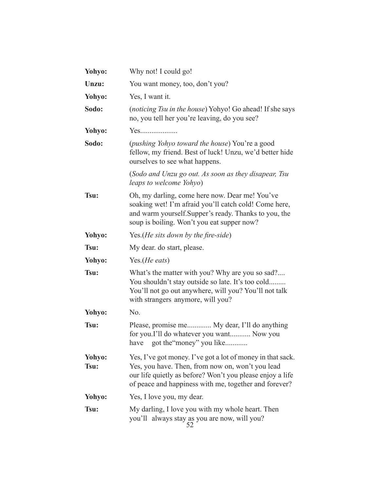| Yohyo:         | Why not! I could go!                                                                                                                                                                                                                 |
|----------------|--------------------------------------------------------------------------------------------------------------------------------------------------------------------------------------------------------------------------------------|
| Unzu:          | You want money, too, don't you?                                                                                                                                                                                                      |
| Yohyo:         | Yes, I want it.                                                                                                                                                                                                                      |
| Sodo:          | (noticing Tsu in the house) Yohyo! Go ahead! If she says<br>no, you tell her you're leaving, do you see?                                                                                                                             |
| Yohyo:         | Yes                                                                                                                                                                                                                                  |
| Sodo:          | (pushing Yohyo toward the house) You're a good<br>fellow, my friend. Best of luck! Unzu, we'd better hide<br>ourselves to see what happens.                                                                                          |
|                | (Sodo and Unzu go out. As soon as they disapear, Tsu<br>leaps to welcome Yohyo)                                                                                                                                                      |
| Tsu:           | Oh, my darling, come here now. Dear me! You've<br>soaking wet! I'm afraid you'll catch cold! Come here,<br>and warm yourself.Supper's ready. Thanks to you, the<br>soup is boiling. Won't you eat supper now?                        |
| Yohyo:         | Yes.(He sits down by the fire-side)                                                                                                                                                                                                  |
| Tsu:           | My dear. do start, please.                                                                                                                                                                                                           |
| Yohyo:         | Yes.(He eats)                                                                                                                                                                                                                        |
| Tsu:           | What's the matter with you? Why are you so sad?<br>You shouldn't stay outside so late. It's too cold<br>You'll not go out anywhere, will you? You'll not talk<br>with strangers anymore, will you?                                   |
| Yohyo:         | No.                                                                                                                                                                                                                                  |
| Tsu:           | Please, promise me My dear, I'll do anything<br>for you.I'll do whatever you want Now you<br>have got the "money" you like                                                                                                           |
| Yohyo:<br>Tsu: | Yes, I've got money. I've got a lot of money in that sack.<br>Yes, you have. Then, from now on, won't you lead<br>our life quietly as before? Won't you please enjoy a life<br>of peace and happiness with me, together and forever? |
| Yohyo:         | Yes, I love you, my dear.                                                                                                                                                                                                            |
| Tsu:           | My darling, I love you with my whole heart. Then<br>you'll always stay as you are now, will you?<br>52                                                                                                                               |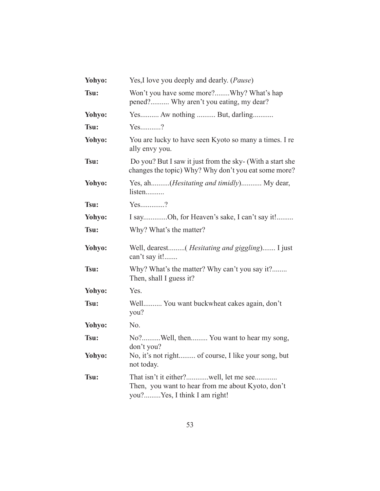| Yohyo: | Yes, I love you deeply and dearly. (Pause)                                                                                 |
|--------|----------------------------------------------------------------------------------------------------------------------------|
| Tsu:   | Won't you have some more?Why? What's hap<br>pened? Why aren't you eating, my dear?                                         |
| Yohyo: | Yes Aw nothing  But, darling                                                                                               |
| Tsu:   | $Yes$ ?                                                                                                                    |
| Yohyo: | You are lucky to have seen Kyoto so many a times. I re<br>ally envy you.                                                   |
| Tsu:   | Do you? But I saw it just from the sky- (With a start she<br>changes the topic) Why? Why don't you eat some more?          |
| Yohyo: | Yes, ah( <i>Hesitating and timidly</i> ) My dear,<br>listen                                                                |
| Tsu:   | $Yes$ ?                                                                                                                    |
| Yohyo: | I sayOh, for Heaven's sake, I can't say it!                                                                                |
| Tsu:   | Why? What's the matter?                                                                                                    |
| Yohyo: | Well, dearest( Hesitating and giggling) I just<br>can't say it!                                                            |
| Tsu:   | Why? What's the matter? Why can't you say it?<br>Then, shall I guess it?                                                   |
| Yohyo: | Yes.                                                                                                                       |
| Tsu:   | Well You want buckwheat cakes again, don't<br>you?                                                                         |
| Yohyo: | No.                                                                                                                        |
| Tsu:   | No?Well, then You want to hear my song,<br>don't you?                                                                      |
| Yohyo: | No, it's not right of course, I like your song, but<br>not today.                                                          |
| Tsu:   | That isn't it either?well, let me see<br>Then, you want to hear from me about Kyoto, don't<br>you?Yes, I think I am right! |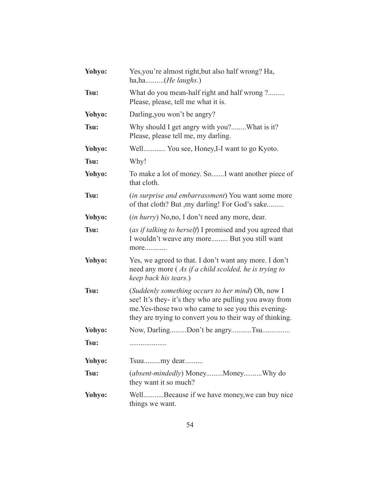| Yohyo: | Yes, you're almost right, but also half wrong? Ha,                                                                                                                                                                              |
|--------|---------------------------------------------------------------------------------------------------------------------------------------------------------------------------------------------------------------------------------|
| Tsu:   | What do you mean-half right and half wrong ?<br>Please, please, tell me what it is.                                                                                                                                             |
| Yohyo: | Darling, you won't be angry?                                                                                                                                                                                                    |
| Tsu:   | Why should I get angry with you?What is it?<br>Please, please tell me, my darling.                                                                                                                                              |
| Yohyo: | Well You see, Honey, I-I want to go Kyoto.                                                                                                                                                                                      |
| Tsu:   | Why!                                                                                                                                                                                                                            |
| Yohyo: | To make a lot of money. SoI want another piece of<br>that cloth.                                                                                                                                                                |
| Tsu:   | <i>(in surprise and embarrassment)</i> You want some more<br>of that cloth? But , my darling! For God's sake                                                                                                                    |
| Yohyo: | <i>(in hurry)</i> No, no, I don't need any more, dear.                                                                                                                                                                          |
| Tsu:   | (as if talking to herself) I promised and you agreed that<br>I wouldn't weave any more But you still want<br>more                                                                                                               |
| Yohyo: | Yes, we agreed to that. I don't want any more. I don't<br>need any more (As if a child scolded, he is trying to<br>keep back his tears.)                                                                                        |
| Tsu:   | (Suddenly something occurs to her mind) Oh, now I<br>see! It's they- it's they who are pulling you away from<br>me. Yes-those two who came to see you this evening-<br>they are trying to convert you to their way of thinking. |
| Yohyo: |                                                                                                                                                                                                                                 |
| Tsu:   |                                                                                                                                                                                                                                 |
| Yohyo: | Tsuumy dear                                                                                                                                                                                                                     |
| Tsu:   | (absent-mindedly) MoneyMoneyWhy do<br>they want it so much?                                                                                                                                                                     |
| Yohyo: | WellBecause if we have money, we can buy nice<br>things we want.                                                                                                                                                                |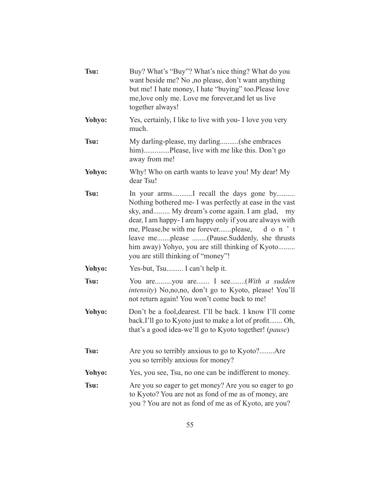| Tsu:   | Buy? What's "Buy"? What's nice thing? What do you<br>want beside me? No , no please, don't want anything<br>but me! I hate money, I hate "buying" too. Please love<br>me, love only me. Love me forever, and let us live<br>together always!                                                                                                                       |
|--------|--------------------------------------------------------------------------------------------------------------------------------------------------------------------------------------------------------------------------------------------------------------------------------------------------------------------------------------------------------------------|
| Yohyo: | Yes, certainly, I like to live with you- I love you very<br>much.                                                                                                                                                                                                                                                                                                  |
| Tsu:   | My darling-please, my darling(she embraces<br>him)Please, live with me like this. Don't go<br>away from me!                                                                                                                                                                                                                                                        |
| Yohyo: | Why! Who on earth wants to leave you! My dear! My<br>dear Tsu!                                                                                                                                                                                                                                                                                                     |
| Tsu:   | Nothing bothered me- I was perfectly at ease in the vast<br>sky, and My dream's come again. I am glad,<br>my<br>dear, I am happy-I am happy only if you are always with<br>me, Please, be with me foreverplease, d o n 't<br>leave meplease (Pause.Suddenly, she thrusts<br>him away) Yohyo, you are still thinking of Kyoto<br>you are still thinking of "money"! |
| Yohyo: | Yes-but, Tsu I can't help it.                                                                                                                                                                                                                                                                                                                                      |
| Tsu:   | You areyou are I see(With a sudden<br><i>intensity</i> ) No,no,no, don't go to Kyoto, please! You'll<br>not return again! You won't come back to me!                                                                                                                                                                                                               |
| Yohyo: | Don't be a fool, dearest. I'll be back. I know I'll come<br>back.I'll go to Kyoto just to make a lot of profit Oh,<br>that's a good idea-we'll go to Kyoto together! (pause)                                                                                                                                                                                       |
| Tsu:   | Are you so terribly anxious to go to Kyoto?Are<br>you so terribly anxious for money?                                                                                                                                                                                                                                                                               |
| Yohyo: | Yes, you see, Tsu, no one can be indifferent to money.                                                                                                                                                                                                                                                                                                             |
| Tsu:   | Are you so eager to get money? Are you so eager to go<br>to Kyoto? You are not as fond of me as of money, are<br>you? You are not as fond of me as of Kyoto, are you?                                                                                                                                                                                              |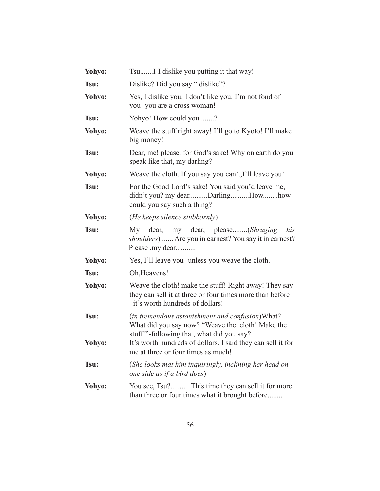| Yohyo: |                                                                                                                                                       |
|--------|-------------------------------------------------------------------------------------------------------------------------------------------------------|
| Tsu:   | Dislike? Did you say "dislike"?                                                                                                                       |
| Yohyo: | Yes, I dislike you. I don't like you. I'm not fond of<br>you- you are a cross woman!                                                                  |
| Tsu:   | Yohyo! How could you?                                                                                                                                 |
| Yohyo: | Weave the stuff right away! I'll go to Kyoto! I'll make<br>big money!                                                                                 |
| Tsu:   | Dear, me! please, for God's sake! Why on earth do you<br>speak like that, my darling?                                                                 |
| Yohyo: | Weave the cloth. If you say you can't, I'll leave you!                                                                                                |
| Tsu:   | For the Good Lord's sake! You said you'd leave me,<br>didn't you? my dearDarlingHowhow<br>could you say such a thing?                                 |
| Yohyo: | (He keeps silence stubbornly)                                                                                                                         |
| Tsu:   | My dear, my dear, please(Shruging<br>his<br><i>shoulders</i> ) Are you in earnest? You say it in earnest?<br>Please , my dear                         |
| Yohyo: | Yes, I'll leave you- unless you weave the cloth.                                                                                                      |
| Tsu:   | Oh, Heavens!                                                                                                                                          |
| Yohyo: | Weave the cloth! make the stuff! Right away! They say<br>they can sell it at three or four times more than before<br>-it's worth hundreds of dollars! |
| Tsu:   | (in tremendous astonishment and confusion)What?<br>What did you say now? "Weave the cloth! Make the<br>stuff!"-following that, what did you say?      |
| Yohyo: | It's worth hundreds of dollars. I said they can sell it for<br>me at three or four times as much!                                                     |
| Tsu:   | (She looks mat him inquiringly, inclining her head on<br>one side as if a bird does)                                                                  |
| Yohyo: | You see, Tsu?This time they can sell it for more<br>than three or four times what it brought before                                                   |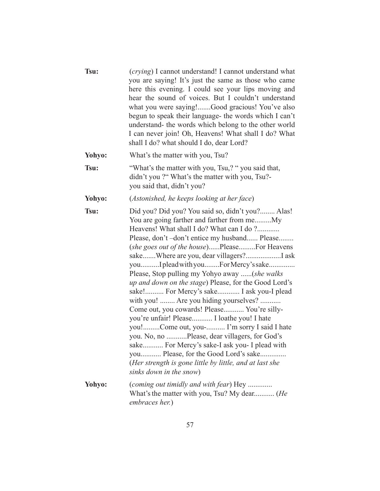| Tsu:   | (crying) I cannot understand! I cannot understand what<br>you are saying! It's just the same as those who came<br>here this evening. I could see your lips moving and<br>hear the sound of voices. But I couldn't understand<br>what you were saying!Good gracious! You've also<br>begun to speak their language- the words which I can't<br>understand- the words which belong to the other world<br>I can never join! Oh, Heavens! What shall I do? What<br>shall I do? what should I do, dear Lord?                                                                                                                                                                                                                                                                                                                                                           |
|--------|------------------------------------------------------------------------------------------------------------------------------------------------------------------------------------------------------------------------------------------------------------------------------------------------------------------------------------------------------------------------------------------------------------------------------------------------------------------------------------------------------------------------------------------------------------------------------------------------------------------------------------------------------------------------------------------------------------------------------------------------------------------------------------------------------------------------------------------------------------------|
| Yohyo: | What's the matter with you, Tsu?                                                                                                                                                                                                                                                                                                                                                                                                                                                                                                                                                                                                                                                                                                                                                                                                                                 |
| Tsu:   | "What's the matter with you, Tsu,? " you said that,<br>didn't you ?" What's the matter with you, Tsu?-<br>you said that, didn't you?                                                                                                                                                                                                                                                                                                                                                                                                                                                                                                                                                                                                                                                                                                                             |
| Yohyo: | (Astonished, he keeps looking at her face)                                                                                                                                                                                                                                                                                                                                                                                                                                                                                                                                                                                                                                                                                                                                                                                                                       |
| Tsu:   | Did you? Did you? You said so, didn't you? Alas!<br>You are going farther and farther from meMy<br>Heavens! What shall I do? What can I do ?<br>Please, don't -don't entice my husband Please<br>(she goes out of the house)PleaseFor Heavens<br>youI plead with youFor Mercy's sake<br>Please, Stop pulling my Yohyo away (she walks<br>up and down on the stage) Please, for the Good Lord's<br>sake ! For Mercy's sake  I ask you-I plead<br>with you!  Are you hiding yourselves?<br>Come out, you cowards! Please You're silly-<br>you're unfair! Please I loathe you! I hate<br>you!Come out, you- I'm sorry I said I hate<br>you. No, no Please, dear villagers, for God's<br>sake For Mercy's sake-I ask you- I plead with<br>you Please, for the Good Lord's sake<br>(Her strength is gone little by little, and at last she<br>sinks down in the snow) |
| Yohyo: | (coming out timidly and with fear) Hey<br>What's the matter with you, Tsu? My dear (He<br>embraces her.)                                                                                                                                                                                                                                                                                                                                                                                                                                                                                                                                                                                                                                                                                                                                                         |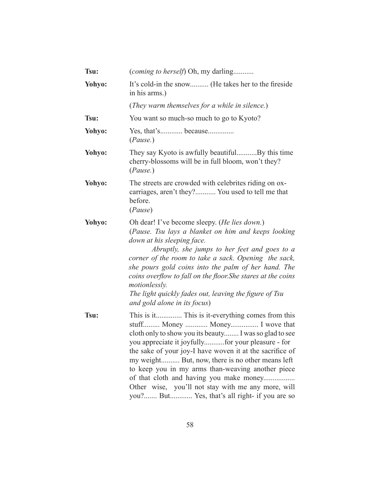| Tsu:   | (coming to herself) Oh, my darling                                                                                                                                                                                                                                                                                                                                                                                                                                                                                       |
|--------|--------------------------------------------------------------------------------------------------------------------------------------------------------------------------------------------------------------------------------------------------------------------------------------------------------------------------------------------------------------------------------------------------------------------------------------------------------------------------------------------------------------------------|
| Yohyo: | It's cold-in the snow (He takes her to the fireside<br>in his arms.)                                                                                                                                                                                                                                                                                                                                                                                                                                                     |
|        | (They warm themselves for a while in silence.)                                                                                                                                                                                                                                                                                                                                                                                                                                                                           |
| Tsu:   | You want so much-so much to go to Kyoto?                                                                                                                                                                                                                                                                                                                                                                                                                                                                                 |
| Yohyo: | Yes, that's because<br>(Pause.)                                                                                                                                                                                                                                                                                                                                                                                                                                                                                          |
| Yohyo: | cherry-blossoms will be in full bloom, won't they?<br>(Pause.)                                                                                                                                                                                                                                                                                                                                                                                                                                                           |
| Yohyo: | The streets are crowded with celebrites riding on ox-<br>carriages, aren't they? You used to tell me that<br>before.<br>(Pause)                                                                                                                                                                                                                                                                                                                                                                                          |
| Yohyo: | Oh dear! I've become sleepy. ( <i>He lies down</i> .)<br>(Pause. Tsu lays a blanket on him and keeps looking<br>down at his sleeping face.<br>Abruptly, she jumps to her feet and goes to a<br>corner of the room to take a sack. Opening the sack,<br>she pours gold coins into the palm of her hand. The<br>coins overflow to fall on the floor. She stares at the coins<br>motionlessly.<br>The light quickly fades out, leaving the figure of Tsu<br>and gold alone in its focus)                                    |
| Tsu:   | This is it This is it-everything comes from this<br>stuff Money  Money I wove that<br>cloth only to show you its beauty I was so glad to see<br>you appreciate it joyfullyfor your pleasure - for<br>the sake of your joy-I have woven it at the sacrifice of<br>my weight But, now, there is no other means left<br>to keep you in my arms than-weaving another piece<br>of that cloth and having you make money<br>Other wise, you'll not stay with me any more, will<br>you? But Yes, that's all right- if you are so |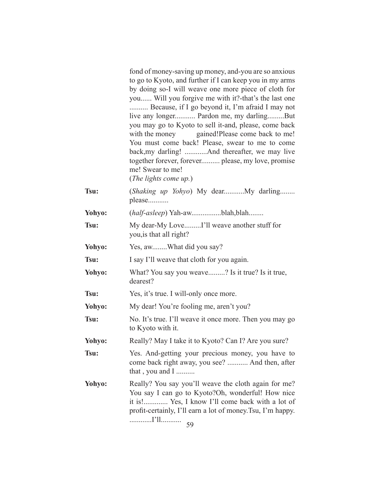fond of money-saving up money, and-you are so anxious to go to Kyoto, and further if I can keep you in my arms by doing so-I will weave one more piece of cloth for you...... Will you forgive me with it?-that's the last one .......... Because, if I go beyond it, I'm afraid I may not live any longer........... Pardon me, my darling.........But you may go to Kyoto to sell it-and, please, come back with the money gained! Please come back to me! You must come back! Please, swear to me to come back,my darling! ............And thereafter, we may live together forever, forever.......... please, my love, promise me! Swear to me! (*The lights come up.*)

 $59$ **Tsu:** (*Shaking up Yohyo*) My dear...........My darling........ please........... **Yohyo:** (*half-asleep*) Yah-aw...................blah,blah........ **Tsu:** My dear-My Love.........I'll weave another stuff for you,is that all right? Yohyo: Yes, aw........What did you say? **Tsu:** I say I'll weave that cloth for you again. **Yohyo:** What? You say you weave.........? Is it true? Is it true, dearest? **Tsu:** Yes, it's true. I will-only once more. Yohyo: My dear! You're fooling me, aren't you? **Tsu:** No. It's true. I'll weave it once more. Then you may go to Kyoto with it. Yohyo: Really? May I take it to Kyoto? Can I? Are you sure? **Tsu:** Yes. And-getting your precious money, you have to come back right away, you see? ........... And then, after that , you and I .......... **Yohyo:** Really? You say you'll weave the cloth again for me? You say I can go to Kyoto?Oh, wonderful! How nice it is!............. Yes, I know I'll come back with a lot of profit-certainly, I'll earn a lot of money.Tsu, I'm happy. ............I'll...........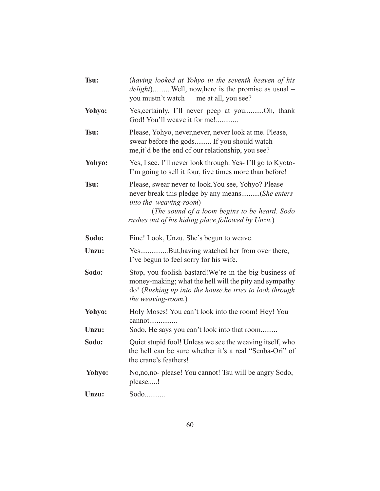| Tsu:   | (having looked at Yohyo in the seventh heaven of his<br><i>delight</i> )Well, now, here is the promise as usual –<br>you mustn't watch<br>me at all, you see?                                                                          |
|--------|----------------------------------------------------------------------------------------------------------------------------------------------------------------------------------------------------------------------------------------|
| Yohyo: | Yes, certainly. I'll never peep at youOh, thank<br>God! You'll weave it for me!                                                                                                                                                        |
| Tsu:   | Please, Yohyo, never, never, never look at me. Please,<br>swear before the gods If you should watch<br>me, it'd be the end of our relationship, you see?                                                                               |
| Yohyo: | Yes, I see. I'll never look through. Yes-I'll go to Kyoto-<br>I'm going to sell it four, five times more than before!                                                                                                                  |
| Tsu:   | Please, swear never to look. You see, Yohyo? Please<br>never break this pledge by any means(She enters<br>into the weaving-room)<br>(The sound of a loom begins to be heard. Sodo<br>rushes out of his hiding place followed by Unzu.) |
| Sodo:  | Fine! Look, Unzu. She's begun to weave.                                                                                                                                                                                                |
| Unzu:  | YesBut, having watched her from over there,<br>I've begun to feel sorry for his wife.                                                                                                                                                  |
| Sodo:  | Stop, you foolish bastard! We're in the big business of<br>money-making; what the hell will the pity and sympathy<br>do! (Rushing up into the house, he tries to look through<br>the weaving-room.)                                    |
| Yohyo: | Holy Moses! You can't look into the room! Hey! You<br>cannot                                                                                                                                                                           |
| Unzu:  | Sodo, He says you can't look into that room                                                                                                                                                                                            |
| Sodo:  | Quiet stupid fool! Unless we see the weaving itself, who<br>the hell can be sure whether it's a real "Senba-Ori" of<br>the crane's feathers!                                                                                           |
| Yohyo: | No, no, no- please! You cannot! Tsu will be angry Sodo,<br>please!                                                                                                                                                                     |
| Unzu:  | Sodo                                                                                                                                                                                                                                   |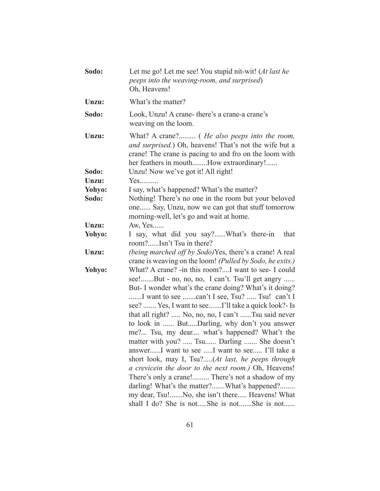| Sodo:           | Let me go! Let me see! You stupid nit-wit! (At last he<br>peeps into the weaving-room, and surprised)<br>Oh, Heavens!                                                                                                                                                                                                                                                                                                                                                                                                                                                                                                                                                                                                                                                                                                                           |
|-----------------|-------------------------------------------------------------------------------------------------------------------------------------------------------------------------------------------------------------------------------------------------------------------------------------------------------------------------------------------------------------------------------------------------------------------------------------------------------------------------------------------------------------------------------------------------------------------------------------------------------------------------------------------------------------------------------------------------------------------------------------------------------------------------------------------------------------------------------------------------|
| Unzu:           | What's the matter?                                                                                                                                                                                                                                                                                                                                                                                                                                                                                                                                                                                                                                                                                                                                                                                                                              |
| Sodo:           | Look, Unzu! A crane-there's a crane-a crane's<br>weaving on the loom.                                                                                                                                                                                                                                                                                                                                                                                                                                                                                                                                                                                                                                                                                                                                                                           |
| Unzu:           | What? A crane? ( He also peeps into the room,<br>and surprised.) Oh, heavens! That's not the wife but a<br>crane! The crane is pacing to and fro on the loom with<br>her feathers in mouthHow extraordinary!                                                                                                                                                                                                                                                                                                                                                                                                                                                                                                                                                                                                                                    |
| Sodo:           | Unzu! Now we've got it! All right!                                                                                                                                                                                                                                                                                                                                                                                                                                                                                                                                                                                                                                                                                                                                                                                                              |
| Unzu:           | $Yes$                                                                                                                                                                                                                                                                                                                                                                                                                                                                                                                                                                                                                                                                                                                                                                                                                                           |
| Yohyo:<br>Sodo: | I say, what's happened? What's the matter?<br>Nothing! There's no one in the room but your beloved                                                                                                                                                                                                                                                                                                                                                                                                                                                                                                                                                                                                                                                                                                                                              |
|                 | one Say, Unzu, now we can got that stuff tomorrow<br>morning-well, let's go and wait at home.                                                                                                                                                                                                                                                                                                                                                                                                                                                                                                                                                                                                                                                                                                                                                   |
| Unzu:           | Aw, Yes                                                                                                                                                                                                                                                                                                                                                                                                                                                                                                                                                                                                                                                                                                                                                                                                                                         |
| Yohyo:          | I say, what did you say?What's there-in<br>that<br>room?Isn't Tsu in there?                                                                                                                                                                                                                                                                                                                                                                                                                                                                                                                                                                                                                                                                                                                                                                     |
| Unzu:           | (being marched off by Sodo)Yes, there's a crane! A real<br>crane is weaving on the loom! (Pulled by Sodo, he exits.)                                                                                                                                                                                                                                                                                                                                                                                                                                                                                                                                                                                                                                                                                                                            |
| Yohyo:          | What? A crane? -in this room?I want to see- I could<br>see!But - no, no, no, I can't. Tsu'll get angry<br>But- I wonder what's the crane doing? What's it doing?<br>I want to see can't I see, Tsu?  Tsu! can't I<br>see?  Yes, I want to seeI'll take a quick look? - Is<br>that all right?  No, no, no, I can't Tsu said never<br>to look in  ButDarling, why don't you answer<br>me? Tsu, my dear what's happened? What't the<br>matter with you?  Tsu Darling  She doesn't<br>answerI want to see I want to see I'll take a<br>short look, may I, Tsu?(At last, he peeps through<br>a crevicein the door to the next room.) Oh, Heavens!<br>There's only a crane! There's not a shadow of my<br>darling! What's the matter?What's happened?<br>my dear, Tsu!No, she isn't there Heavens! What<br>shall I do? She is notShe is notShe is not |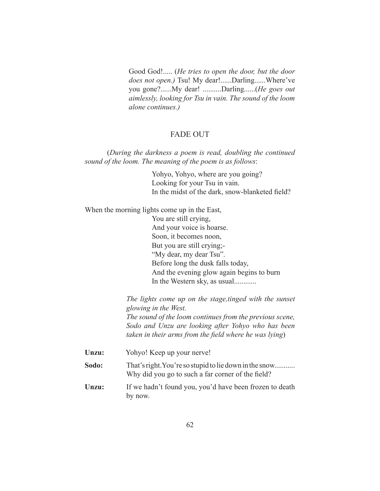Good God!..... (*He tries to open the door, but the door does not open.*) Tsu! My dear!......Darling......Where've you gone?......My dear! ..........Darling......(*He goes out*  aimlessly, looking for Tsu in vain. The sound of the loom *done continues.)* 

# FADE OUT

(*During the darkness a poem is read*, *doubling the continued* sound of the loom. The meaning of the poem is as follows:

> Yohyo, Yohyo, where are you going? Looking for your Tsu in vain. In the midst of the dark, snow-blanketed field?

When the morning lights come up in the East, You are still crying, And your voice is hoarse. Soon, it becomes noon, But you are still crying;- "My dear, my dear Tsu". Before long the dusk falls today, And the evening glow again begins to burn In the Western sky, as usual............

> *The lights come up on the stage, tinged with the sunset glowing in the West.* The sound of the loom continues from the previous scene, *Sodo and Unzu are looking after Yohyo who has been taken in their arms from the field where he was lying*)

| Unzu: | Yohyo! Keep up your nerve!                                                                                  |
|-------|-------------------------------------------------------------------------------------------------------------|
| Sodo: | That's right. You're so stupid to lie down in the snow<br>Why did you go to such a far corner of the field? |
| Unzu: | If we hadn't found you, you'd have been frozen to death<br>by now.                                          |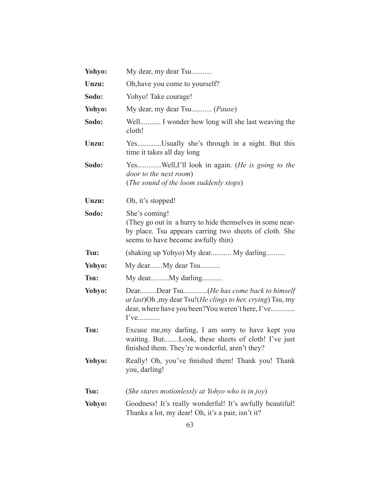| Yohyo: | My dear, my dear Tsu                                                                                                                                                      |
|--------|---------------------------------------------------------------------------------------------------------------------------------------------------------------------------|
| Unzu:  | Oh, have you come to yourself?                                                                                                                                            |
| Sodo:  | Yohyo! Take courage!                                                                                                                                                      |
| Yohyo: | My dear, my dear Tsu ( <i>Pause</i> )                                                                                                                                     |
| Sodo:  | Well I wonder how long will she last weaving the<br>cloth!                                                                                                                |
| Unzu:  | YesUsually she's through in a night. But this<br>time it takes all day long                                                                                               |
| Sodo:  | YesWell,I'll look in again. (He is going to the<br><i>door to the next room</i> )<br>(The sound of the loom suddenly stops)                                               |
| Unzu:  | Oh, it's stopped!                                                                                                                                                         |
| Sodo:  | She's coming!<br>(They go out in a hurry to hide themselves in some near-<br>by place. Tsu appears carring two sheets of cloth. She<br>seems to have become awfully thin) |
| Tsu:   | (shaking up Yohyo) My dear My darling                                                                                                                                     |
| Yohyo: | My dearMy dear Tsu                                                                                                                                                        |
| Tsu:   |                                                                                                                                                                           |
| Yohyo: | at last)Oh , my dear Tsu! (He clings to her, crying) Tsu, my<br>dear, where have you been? You weren't here, I've                                                         |
| Tsu:   | Excuse me, my darling, I am sorry to have kept you<br>waiting. ButLook, these sheets of cloth! I've just<br>finished them. They're wonderful, aren't they?                |
| Yohyo: | Really! Oh, you've finished them! Thank you! Thank<br>you, darling!                                                                                                       |
| Tsu:   | (She stares motionlessly at Yohyo who is in joy)                                                                                                                          |
| Yohyo: | Goodness! It's really wonderful! It's awfully beautiful!<br>Thanks a lot, my dear! Oh, it's a pair, isn't it?                                                             |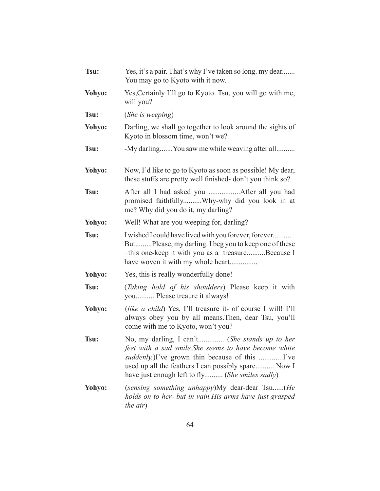| Tsu:   | Yes, it's a pair. That's why I've taken so long. my dear<br>You may go to Kyoto with it now.                                                                                                                                                                       |
|--------|--------------------------------------------------------------------------------------------------------------------------------------------------------------------------------------------------------------------------------------------------------------------|
| Yohyo: | Yes, Certainly I'll go to Kyoto. Tsu, you will go with me,<br>will you?                                                                                                                                                                                            |
| Tsu:   | (She is weeping)                                                                                                                                                                                                                                                   |
| Yohyo: | Darling, we shall go together to look around the sights of<br>Kyoto in blossom time, won't we?                                                                                                                                                                     |
| Tsu:   | -My darlingYou saw me while weaving after all                                                                                                                                                                                                                      |
| Yohyo: | Now, I'd like to go to Kyoto as soon as possible! My dear,<br>these stuffs are pretty well finished-don't you think so?                                                                                                                                            |
| Tsu:   | promised faithfullyWhy-why did you look in at<br>me? Why did you do it, my darling?                                                                                                                                                                                |
| Yohyo: | Well! What are you weeping for, darling?                                                                                                                                                                                                                           |
| Tsu:   | I wished I could have lived with you forever, forever<br>ButPlease, my darling. I beg you to keep one of these<br>-this one-keep it with you as a treasureBecause I                                                                                                |
| Yohyo: | Yes, this is really wonderfully done!                                                                                                                                                                                                                              |
| Tsu:   | (Taking hold of his shoulders) Please keep it with<br>you Please treaure it always!                                                                                                                                                                                |
| Yohyo: | <i>(like a child)</i> Yes, I'll treasure it- of course I will! I'll<br>always obey you by all means. Then, dear Tsu, you'll<br>come with me to Kyoto, won't you?                                                                                                   |
| Tsu:   | No, my darling, I can't (She stands up to her<br>feet with a sad smile. She seems to have become white<br>suddenly.)I've grown thin because of this I've<br>used up all the feathers I can possibly spare Now I<br>have just enough left to fly (She smiles sadly) |
| Yohyo: | (sensing something unhappy)My dear-dear Tsu(He<br>holds on to her- but in vain. His arms have just grasped<br><i>the air</i> )                                                                                                                                     |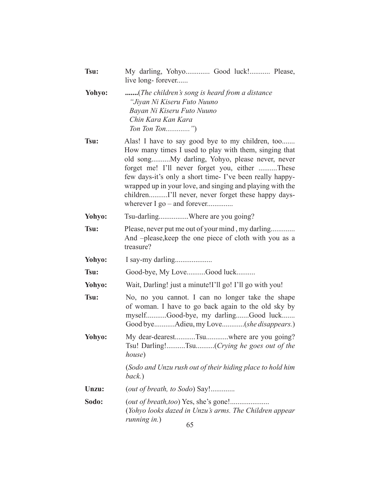| Tsu:   | My darling, Yohyo Good luck! Please,<br>live long-forever                                                                                                                                                                                                                                                                                                            |
|--------|----------------------------------------------------------------------------------------------------------------------------------------------------------------------------------------------------------------------------------------------------------------------------------------------------------------------------------------------------------------------|
| Yohyo: | (The children's song is heard from a distance<br>"Jiyan Ni Kiseru Futo Nuuno<br>Bayan Ni Kiseru Futo Nuuno<br>Chin Kara Kan Kara                                                                                                                                                                                                                                     |
| Tsu:   | Alas! I have to say good bye to my children, too<br>How many times I used to play with them, singing that<br>old songMy darling, Yohyo, please never, never<br>forget me! I'll never forget you, either These<br>few days-it's only a short time-I've been really happy-<br>wrapped up in your love, and singing and playing with the<br>wherever I go – and forever |
| Yohyo: | Tsu-darlingWhere are you going?                                                                                                                                                                                                                                                                                                                                      |
| Tsu:   | Please, never put me out of your mind, my darling<br>And -please, keep the one piece of cloth with you as a<br>treasure?                                                                                                                                                                                                                                             |
| Yohyo: |                                                                                                                                                                                                                                                                                                                                                                      |
| Tsu:   | Good-bye, My LoveGood luck                                                                                                                                                                                                                                                                                                                                           |
| Yohyo: | Wait, Darling! just a minute!I'll go! I'll go with you!                                                                                                                                                                                                                                                                                                              |
| Tsu:   | No, no you cannot. I can no longer take the shape<br>of woman. I have to go back again to the old sky by<br>myselfGood-bye, my darlingGood luck<br>Good byeAdieu, my Love(she disappears.)                                                                                                                                                                           |
| Yohyo: | My dear-dearestTsuwhere are you going?<br>Tsu! Darling!Tsu(Crying he goes out of the<br>house)                                                                                                                                                                                                                                                                       |
|        | (Sodo and Unzu rush out of their hiding place to hold him<br>back.)                                                                                                                                                                                                                                                                                                  |
| Unzu:  | (out of breath, to Sodo) Say!                                                                                                                                                                                                                                                                                                                                        |
| Sodo:  | (Yohyo looks dazed in Unzu's arms. The Children appear<br>running in.)                                                                                                                                                                                                                                                                                               |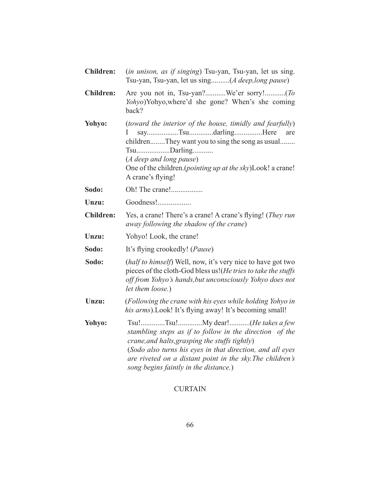| <b>Children:</b> | <i>(in unison, as if singing)</i> Tsu-yan, Tsu-yan, let us sing.<br>Tsu-yan, Tsu-yan, let us sing(A deep,long pause)                                                                                                                                                         |
|------------------|------------------------------------------------------------------------------------------------------------------------------------------------------------------------------------------------------------------------------------------------------------------------------|
| <b>Children:</b> | Yohyo)Yohyo, where'd she gone? When's she coming<br>back?                                                                                                                                                                                                                    |
| Yohyo:           | (toward the interior of the house, timidly and fearfully)<br>L<br>are<br>childrenThey want you to sing the song as usual<br>$Tsu$ Darling<br>(A deep and long pause)<br>One of the children. ( <i>pointing up at the sky</i> )Look! a crane!<br>A crane's flying!            |
| Sodo:            |                                                                                                                                                                                                                                                                              |
| Unzu:            | Goodness!                                                                                                                                                                                                                                                                    |
| <b>Children:</b> | Yes, a crane! There's a crane! A crane's flying! (They run<br>away following the shadow of the crane)                                                                                                                                                                        |
| Unzu:            | Yohyo! Look, the crane!                                                                                                                                                                                                                                                      |
| Sodo:            | It's flying crookedly! (Pause)                                                                                                                                                                                                                                               |
| Sodo:            | (half to himself) Well, now, it's very nice to have got two<br>pieces of the cloth-God bless us! (He tries to take the stuffs<br>off from Yohyo's hands, but unconsciously Yohyo does not<br>let them loose.)                                                                |
| Unzu:            | (Following the crane with his eyes while holding Yohyo in<br>his arms). Look! It's flying away! It's becoming small!                                                                                                                                                         |
| Yohyo:           | stambling steps as if to follow in the direction of the<br>crane, and halts, grasping the stuffs tightly)<br>(Sodo also turns his eyes in that direction, and all eyes<br>are riveted on a distant point in the sky. The children's<br>song begins faintly in the distance.) |

# **CURTAIN**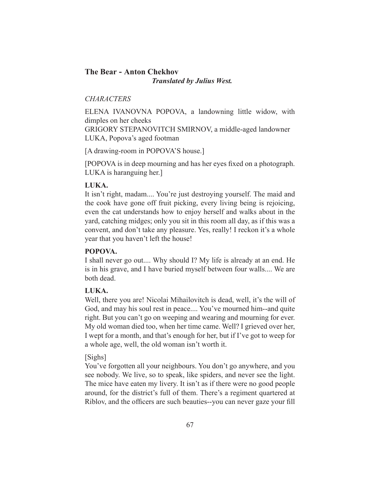# **The Bear - Anton Chekhov**  *Translated by Julius West.*

#### $CHARACTERS$

ELENA IVANOVNA POPOVA, a landowning little widow, with dimples on her cheeks GRIGORY STEPANOVITCH SMIRNOV, a middle-aged landowner

LUKA, Popova's aged footman

[A drawing-room in POPOVA'S house.]

[POPOVA is in deep mourning and has her eyes fixed on a photograph. LUKA is haranguing her.]

#### **LUKA.**

It isn't right, madam.... You're just destroying yourself. The maid and the cook have gone off fruit picking, every living being is rejoicing, even the cat understands how to enjoy herself and walks about in the yard, catching midges; only you sit in this room all day, as if this was a convent, and don't take any pleasure. Yes, really! I reckon it's a whole year that you haven't left the house!

#### **POPOVA.**

I shall never go out.... Why should I? My life is already at an end. He is in his grave, and I have buried myself between four walls.... We are both dead.

### **LUKA.**

Well, there you are! Nicolai Mihailovitch is dead, well, it's the will of God, and may his soul rest in peace.... You've mourned him--and quite right. But you can't go on weeping and wearing and mourning for ever. My old woman died too, when her time came. Well? I grieved over her, I wept for a month, and that's enough for her, but if I've got to weep for a whole age, well, the old woman isn't worth it.

#### [Sighs]

You've forgotten all your neighbours. You don't go anywhere, and you see nobody. We live, so to speak, like spiders, and never see the light. The mice have eaten my livery. It isn't as if there were no good people around, for the district's full of them. There's a regiment quartered at Riblov, and the officers are such beauties--you can never gaze your fill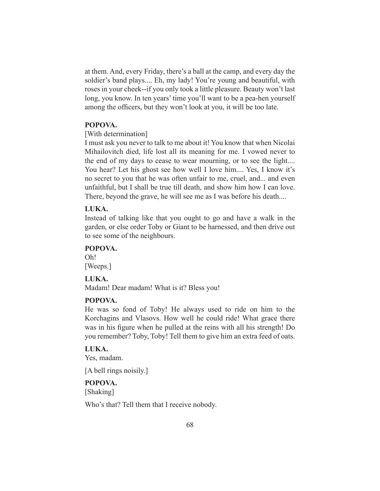at them. And, every Friday, there's a ball at the camp, and every day the soldier's band plays.... Eh, my lady! You're young and beautiful, with roses in your cheek--if you only took a little pleasure. Beauty won't last long, you know. In ten years' time you'll want to be a pea-hen yourself among the officers, but they won't look at you, it will be too late.

#### **POPOVA.**

#### [With determination]

I must ask you never to talk to me about it! You know that when Nicolai Mihailovitch died, life lost all its meaning for me. I vowed never to the end of my days to cease to wear mourning, or to see the light.... You hear? Let his ghost see how well I love him.... Yes, I know it's no secret to you that he was often unfair to me, cruel, and... and even unfaithful, but I shall be true till death, and show him how I can love. There, beyond the grave, he will see me as I was before his death....

# **LUKA.**

Instead of talking like that you ought to go and have a walk in the garden, or else order Toby or Giant to be harnessed, and then drive out to see some of the neighbours.

#### **POPOVA.**

Oh! [Weeps.]

#### **LUKA.**

Madam! Dear madam! What is it? Bless you!

# **POPOVA.**

He was so fond of Toby! He always used to ride on him to the Korchagins and Vlasovs. How well he could ride! What grace there was in his figure when he pulled at the reins with all his strength! Do you remember? Toby, Toby! Tell them to give him an extra feed of oats.

# **LUKA.**

Yes, madam.

[A bell rings noisily.]

### **POPOVA.**

[Shaking]

Who's that? Tell them that I receive nobody.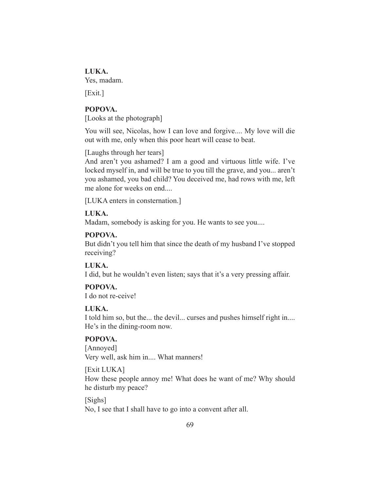# **LUKA.**

Yes, madam.

[Exit.]

#### **POPOVA.**

[Looks at the photograph]

You will see, Nicolas, how I can love and forgive.... My love will die out with me, only when this poor heart will cease to beat.

[Laughs through her tears]

And aren't you ashamed? I am a good and virtuous little wife. I've locked myself in, and will be true to you till the grave, and you... aren't you ashamed, you bad child? You deceived me, had rows with me, left me alone for weeks on end....

[LUKA enters in consternation.]

#### **LUKA.**

Madam, somebody is asking for you. He wants to see you....

# **POPOVA.**

But didn't you tell him that since the death of my husband I've stopped receiving?

# **LUKA.**

I did, but he wouldn't even listen; says that it's a very pressing affair.

# **POPOVA.**

I do not re-ceive!

## **LUKA.**

I told him so, but the... the devil... curses and pushes himself right in.... He's in the dining-room now.

## **POPOVA.**

[Annoyed] Very well, ask him in.... What manners!

[Exit LUKA]

How these people annoy me! What does he want of me? Why should he disturb my peace?

[Sighs] No, I see that I shall have to go into a convent after all.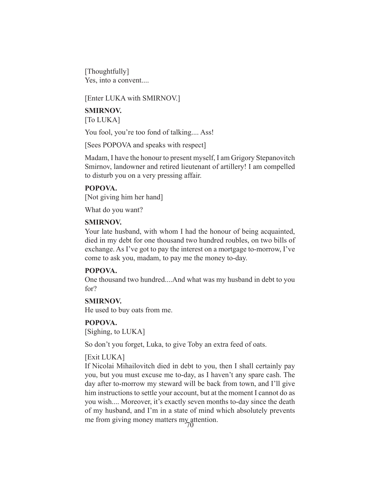[Thoughtfully] Yes, into a convent....

[Enter LUKA with SMIRNOV.]

**SMIRNOV.**  [To LUKA]

You fool, you're too fond of talking.... Ass!

[Sees POPOVA and speaks with respect]

Madam, I have the honour to present myself, I am Grigory Stepanovitch Smirnov, landowner and retired lieutenant of artillery! I am compelled to disturb you on a very pressing affair.

#### **POPOVA.**

[Not giving him her hand]

What do you want?

#### **SMIRNOV.**

Your late husband, with whom I had the honour of being acquainted, died in my debt for one thousand two hundred roubles, on two bills of exchange. As I've got to pay the interest on a mortgage to-morrow, I've come to ask you, madam, to pay me the money to-day.

# **POPOVA.**

One thousand two hundred....And what was my husband in debt to you for?

#### **SMIRNOV.**

He used to buy oats from me.

# **POPOVA.**

[Sighing, to LUKA]

So don't you forget, Luka, to give Toby an extra feed of oats.

# [Exit LUKA]

If Nicolai Mihailovitch died in debt to you, then I shall certainly pay you, but you must excuse me to-day, as I haven't any spare cash. The day after to-morrow my steward will be back from town, and I'll give him instructions to settle your account, but at the moment I cannot do as you wish.... Moreover, it's exactly seven months to-day since the death of my husband, and I'm in a state of mind which absolutely prevents me from giving money matters my attention.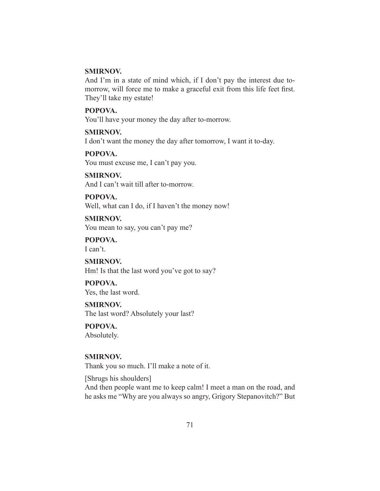#### **SMIRNOV.**

And I'm in a state of mind which, if I don't pay the interest due tomorrow, will force me to make a graceful exit from this life feet first. They'll take my estate!

# **POPOVA.**

You'll have your money the day after to-morrow.

#### **SMIRNOV.**

I don't want the money the day after tomorrow, I want it to-day.

#### **POPOVA.**

You must excuse me, I can't pay you.

# **SMIRNOV.**

And I can't wait till after to-morrow.

# **POPOVA.** Well, what can I do, if I haven't the money now!

**SMIRNOV.**  You mean to say, you can't pay me?

# **POPOVA.**

I can't.

# **SMIRNOV.**

Hm! Is that the last word you've got to say?

# **POPOVA.**  Yes, the last word.

**SMIRNOV.**  The last word? Absolutely your last?

# **POPOVA.**

Absolutely.

#### **SMIRNOV.**

Thank you so much. I'll make a note of it.

#### [Shrugs his shoulders]

And then people want me to keep calm! I meet a man on the road, and he asks me "Why are you always so angry, Grigory Stepanovitch?" But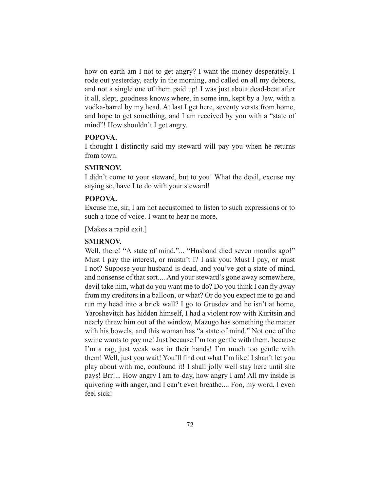how on earth am I not to get angry? I want the money desperately. I rode out yesterday, early in the morning, and called on all my debtors, and not a single one of them paid up! I was just about dead-beat after it all, slept, goodness knows where, in some inn, kept by a Jew, with a vodka-barrel by my head. At last I get here, seventy versts from home, and hope to get something, and I am received by you with a "state of mind"! How shouldn't I get angry.

#### **POPOVA.**

I thought I distinctly said my steward will pay you when he returns from town.

#### **SMIRNOV.**

I didn't come to your steward, but to you! What the devil, excuse my saying so, have I to do with your steward!

#### **POPOVA.**

Excuse me, sir, I am not accustomed to listen to such expressions or to such a tone of voice. I want to hear no more.

[Makes a rapid exit.]

#### **SMIRNOV.**

Well, there! "A state of mind."... "Husband died seven months ago!" Must I pay the interest, or mustn't I? I ask you: Must I pay, or must I not? Suppose your husband is dead, and you've got a state of mind, and nonsense of that sort.... And your steward's gone away somewhere, devil take him, what do you want me to do? Do you think I can fly away from my creditors in a balloon, or what? Or do you expect me to go and run my head into a brick wall? I go to Grusdev and he isn't at home, Yaroshevitch has hidden himself, I had a violent row with Kuritsin and nearly threw him out of the window, Mazugo has something the matter with his bowels, and this woman has "a state of mind." Not one of the swine wants to pay me! Just because I'm too gentle with them, because I'm a rag, just weak wax in their hands! I'm much too gentle with them! Well, just you wait! You'll find out what I'm like! I shan't let you play about with me, confound it! I shall jolly well stay here until she pays! Brr!... How angry I am to-day, how angry I am! All my inside is quivering with anger, and I can't even breathe.... Foo, my word, I even feel sick!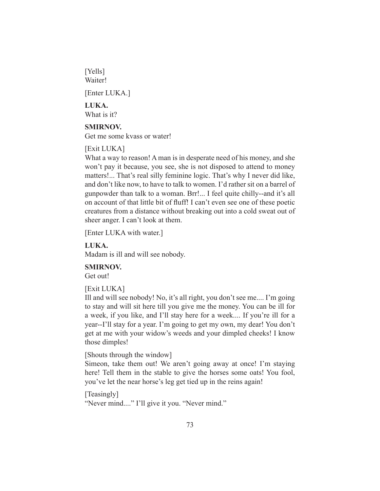[Yells] Waiter!

[Enter LUKA.]

**LUKA.**  What is it?

# **SMIRNOV.**

Get me some kvass or water!

# [Exit LUKA]

What a way to reason! A man is in desperate need of his money, and she won't pay it because, you see, she is not disposed to attend to money matters!... That's real silly feminine logic. That's why I never did like, and don't like now, to have to talk to women. I'd rather sit on a barrel of gunpowder than talk to a woman. Brr!... I feel quite chilly--and it's all on account of that little bit of fluff! I can't even see one of these poetic creatures from a distance without breaking out into a cold sweat out of sheer anger. I can't look at them.

[Enter LUKA with water.]

# **LUKA.**

Madam is ill and will see nobody.

#### **SMIRNOV.**

Get out!

## [Exit LUKA]

Ill and will see nobody! No, it's all right, you don't see me.... I'm going to stay and will sit here till you give me the money. You can be ill for a week, if you like, and I'll stay here for a week.... If you're ill for a year--I'll stay for a year. I'm going to get my own, my dear! You don't get at me with your widow's weeds and your dimpled cheeks! I know those dimples!

## [Shouts through the window]

Simeon, take them out! We aren't going away at once! I'm staying here! Tell them in the stable to give the horses some oats! You fool, you've let the near horse's leg get tied up in the reins again!

[Teasingly] "Never mind...." I'll give it you. "Never mind."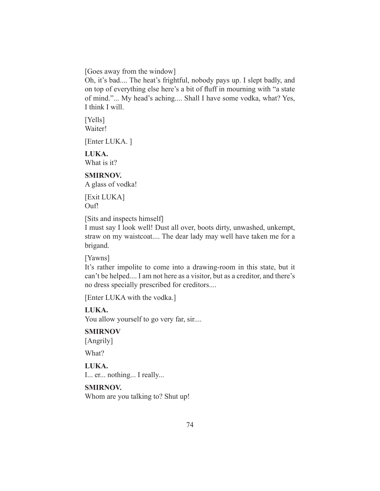[Goes away from the window]

Oh, it's bad.... The heat's frightful, nobody pays up. I slept badly, and on top of everything else here's a bit of fluff in mourning with "a state" of mind."... My head's aching.... Shall I have some vodka, what? Yes, I think I will.

[Yells] Waiter!

[Enter LUKA.]

**LUKA.**  What is it?

# **SMIRNOV.**

A glass of vodka!

[Exit LUKA] Ouf!

[Sits and inspects himself]

I must say I look well! Dust all over, boots dirty, unwashed, unkempt, straw on my waistcoat.... The dear lady may well have taken me for a brigand.

[Yawns]

It's rather impolite to come into a drawing-room in this state, but it can't be helped.... I am not here as a visitor, but as a creditor, and there's no dress specially prescribed for creditors....

[Enter LUKA with the vodka.]

**LUKA.**

You allow yourself to go very far, sir....

# **SMIRNOV**

[Angrily]

What?

**LUKA.** I... er... nothing... I really...

## **SMIRNOV.**

Whom are you talking to? Shut up!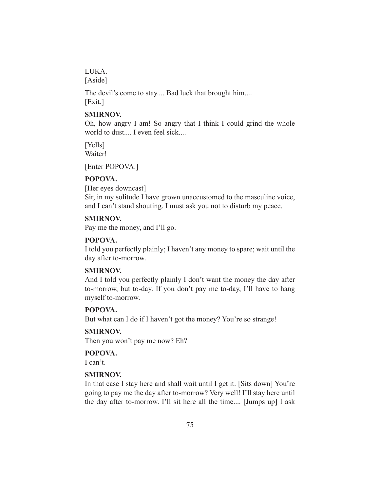LUKA. [Aside]

The devil's come to stay.... Bad luck that brought him.... [Exit.]

# **SMIRNOV.**

Oh, how angry I am! So angry that I think I could grind the whole world to dust.... I even feel sick....

[Yells] Waiter!

[Enter POPOVA.]

# **POPOVA.**

[Her eyes downcast] Sir, in my solitude I have grown unaccustomed to the masculine voice, and I can't stand shouting. I must ask you not to disturb my peace.

# **SMIRNOV.**

Pay me the money, and I'll go.

# **POPOVA.**

I told you perfectly plainly; I haven't any money to spare; wait until the day after to-morrow.

## **SMIRNOV.**

And I told you perfectly plainly I don't want the money the day after to-morrow, but to-day. If you don't pay me to-day, I'll have to hang myself to-morrow.

# **POPOVA.**

But what can I do if I haven't got the money? You're so strange!

# **SMIRNOV.**

Then you won't pay me now? Eh?

## **POPOVA.**

I can't.

## **SMIRNOV.**

In that case I stay here and shall wait until I get it. [Sits down] You're going to pay me the day after to-morrow? Very well! I'll stay here until the day after to-morrow. I'll sit here all the time.... [Jumps up] I ask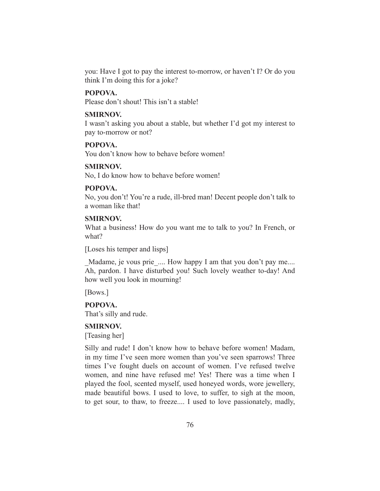you: Have I got to pay the interest to-morrow, or haven't I? Or do you think I'm doing this for a joke?

## **POPOVA.**

Please don't shout! This isn't a stable!

## **SMIRNOV.**

I wasn't asking you about a stable, but whether I'd got my interest to pay to-morrow or not?

## **POPOVA.**

You don't know how to behave before women!

#### **SMIRNOV.**

No, I do know how to behave before women!

### **POPOVA.**

No, you don't! You're a rude, ill-bred man! Decent people don't talk to a woman like that!

# **SMIRNOV.**

What a business! How do you want me to talk to you? In French, or what?

[Loses his temper and lisps]

Madame, je vous prie .... How happy I am that you don't pay me.... Ah, pardon. I have disturbed you! Such lovely weather to-day! And how well you look in mourning!

[Bows.]

## **POPOVA.**

That's silly and rude.

#### **SMIRNOV.**

[Teasing her]

Silly and rude! I don't know how to behave before women! Madam, in my time I've seen more women than you've seen sparrows! Three times I've fought duels on account of women. I've refused twelve women, and nine have refused me! Yes! There was a time when I played the fool, scented myself, used honeyed words, wore jewellery, made beautiful bows. I used to love, to suffer, to sigh at the moon, to get sour, to thaw, to freeze.... I used to love passionately, madly,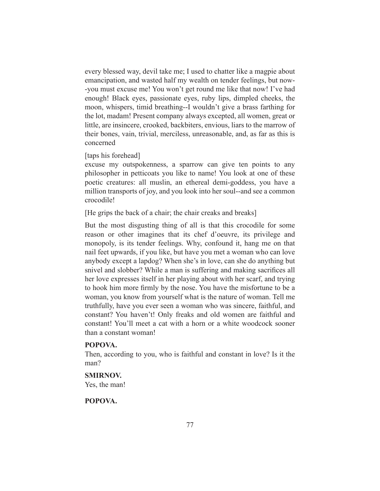every blessed way, devil take me; I used to chatter like a magpie about emancipation, and wasted half my wealth on tender feelings, but now- -you must excuse me! You won't get round me like that now! I've had enough! Black eyes, passionate eyes, ruby lips, dimpled cheeks, the moon, whispers, timid breathing--I wouldn't give a brass farthing for the lot, madam! Present company always excepted, all women, great or little, are insincere, crooked, backbiters, envious, liars to the marrow of their bones, vain, trivial, merciless, unreasonable, and, as far as this is concerned

### [taps his forehead]

excuse my outspokenness, a sparrow can give ten points to any philosopher in petticoats you like to name! You look at one of these poetic creatures: all muslin, an ethereal demi-goddess, you have a million transports of joy, and you look into her soul--and see a common crocodile!

[He grips the back of a chair; the chair creaks and breaks]

But the most disgusting thing of all is that this crocodile for some reason or other imagines that its chef d'oeuvre, its privilege and monopoly, is its tender feelings. Why, confound it, hang me on that nail feet upwards, if you like, but have you met a woman who can love anybody except a lapdog? When she's in love, can she do anything but snivel and slobber? While a man is suffering and making sacrifices all her love expresses itself in her playing about with her scarf, and trying to hook him more firmly by the nose. You have the misfortune to be a woman, you know from yourself what is the nature of woman. Tell me truthfully, have you ever seen a woman who was sincere, faithful, and constant? You haven't! Only freaks and old women are faithful and constant! You'll meet a cat with a horn or a white woodcock sooner than a constant woman!

# **POPOVA.**

Then, according to you, who is faithful and constant in love? Is it the man?

#### **SMIRNOV.**

Yes, the man!

## **POPOVA.**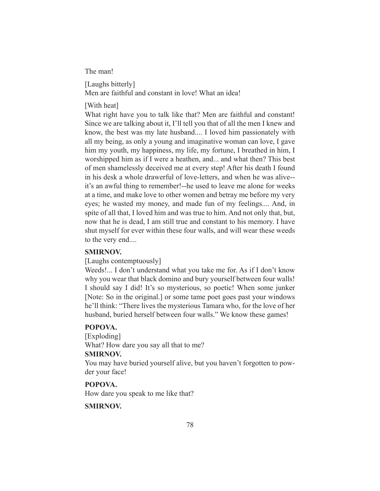The man!

[Laughs bitterly] Men are faithful and constant in love! What an idea!

[With heat]

What right have you to talk like that? Men are faithful and constant! Since we are talking about it, I'll tell you that of all the men I knew and know, the best was my late husband.... I loved him passionately with all my being, as only a young and imaginative woman can love, I gave him my youth, my happiness, my life, my fortune, I breathed in him, I worshipped him as if I were a heathen, and... and what then? This best of men shamelessly deceived me at every step! After his death I found in his desk a whole drawerful of love-letters, and when he was alive- it's an awful thing to remember!--he used to leave me alone for weeks at a time, and make love to other women and betray me before my very eyes; he wasted my money, and made fun of my feelings.... And, in spite of all that, I loved him and was true to him. And not only that, but, now that he is dead, I am still true and constant to his memory. I have shut myself for ever within these four walls, and will wear these weeds to the very end....

## **SMIRNOV.**

[Laughs contemptuously]

Weeds!... I don't understand what you take me for. As if I don't know why you wear that black domino and bury yourself between four walls! I should say I did! It's so mysterious, so poetic! When some junker [Note: So in the original.] or some tame poet goes past your windows he'll think: "There lives the mysterious Tamara who, for the love of her husband, buried herself between four walls." We know these games!

## **POPOVA.**

[Exploding] What? How dare you say all that to me?

#### **SMIRNOV.**

You may have buried yourself alive, but you haven't forgotten to powder your face!

## **POPOVA.**

How dare you speak to me like that?

## **SMIRNOV.**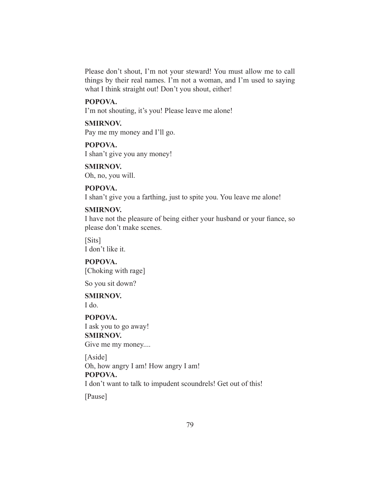Please don't shout, I'm not your steward! You must allow me to call things by their real names. I'm not a woman, and I'm used to saying what I think straight out! Don't you shout, either!

## **POPOVA.**

I'm not shouting, it's you! Please leave me alone!

# **SMIRNOV.**

Pay me my money and I'll go.

# **POPOVA.**

I shan't give you any money!

## **SMIRNOV.**

Oh, no, you will.

## **POPOVA.**

I shan't give you a farthing, just to spite you. You leave me alone!

## **SMIRNOV.**

I have not the pleasure of being either your husband or your fiance, so please don't make scenes.

[Sits] I don't like it.

# **POPOVA.**

[Choking with rage]

So you sit down?

# **SMIRNOV.**

I do.

# **POPOVA.**

I ask you to go away! **SMIRNOV.** Give me my money....

[Aside]

Oh, how angry I am! How angry I am!

# **POPOVA.**

I don't want to talk to impudent scoundrels! Get out of this!

[Pause]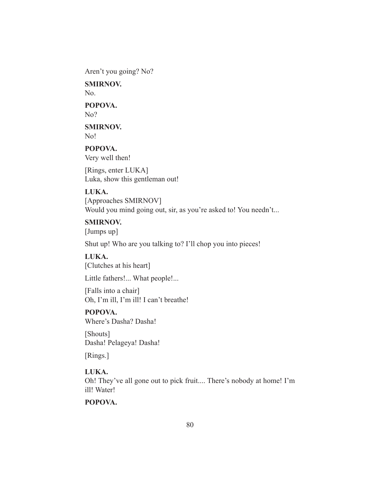Aren't you going? No?

### **SMIRNOV.**  No.

## **POPOVA.**  N<sub>o</sub>?

# **SMIRNOV.**

No!

# **POPOVA.** Very well then!

[Rings, enter LUKA] Luka, show this gentleman out!

# **LUKA.**

[Approaches SMIRNOV] Would you mind going out, sir, as you're asked to! You needn't...

# **SMIRNOV.**

[Jumps up]

Shut up! Who are you talking to? I'll chop you into pieces!

# **LUKA.**

[Clutches at his heart]

Little fathers!... What people!...

[Falls into a chair] Oh, I'm ill, I'm ill! I can't breathe!

# **POPOVA.**

Where's Dasha? Dasha!

[Shouts] Dasha! Pelageya! Dasha!

[Rings.]

# **LUKA.**

Oh! They've all gone out to pick fruit.... There's nobody at home! I'm ill! Water!

# **POPOVA.**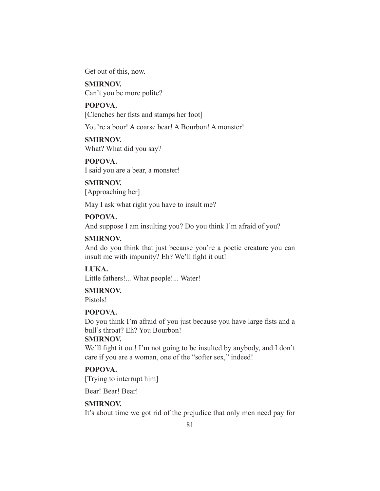Get out of this, now.

**SMIRNOV.** Can't you be more polite?

**POPOVA.**  [Clenches her fists and stamps her foot]

You're a boor! A coarse bear! A Bourbon! A monster!

**SMIRNOV.** What? What did you say?

**POPOVA.** I said you are a bear, a monster!

**SMIRNOV.**  [Approaching her]

May I ask what right you have to insult me?

**POPOVA.**

And suppose I am insulting you? Do you think I'm afraid of you?

# **SMIRNOV.**

And do you think that just because you're a poetic creature you can insult me with impunity? Eh? We'll fight it out!

**LUKA.**  Little fathers!... What people!... Water!

**SMIRNOV.** 

Pistols!

# **POPOVA.**

Do you think I'm afraid of you just because you have large fists and a bull's throat? Eh? You Bourbon!

# **SMIRNOV.**

We'll fight it out! I'm not going to be insulted by anybody, and I don't care if you are a woman, one of the "softer sex," indeed!

# **POPOVA.**

[Trying to interrupt him]

Bear! Bear! Bear!

# **SMIRNOV.**

It's about time we got rid of the prejudice that only men need pay for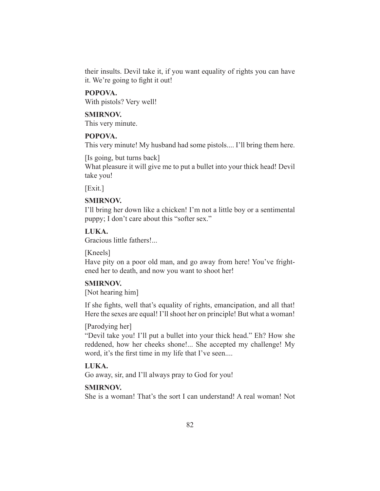their insults. Devil take it, if you want equality of rights you can have it. We're going to fight it out!

## **POPOVA.**

With pistols? Very well!

## **SMIRNOV.**

This very minute.

# **POPOVA.**

This very minute! My husband had some pistols.... I'll bring them here.

[Is going, but turns back]

What pleasure it will give me to put a bullet into your thick head! Devil take you!

[Exit.]

## **SMIRNOV.**

I'll bring her down like a chicken! I'm not a little boy or a sentimental puppy; I don't care about this "softer sex."

# **LUKA.**

Gracious little fathers!...

[Kneels]

Have pity on a poor old man, and go away from here! You've frightened her to death, and now you want to shoot her!

## **SMIRNOV.**

[Not hearing him]

If she fights, well that's equality of rights, emancipation, and all that! Here the sexes are equal! I'll shoot her on principle! But what a woman!

### [Parodying her]

"Devil take you! I'll put a bullet into your thick head." Eh? How she reddened, how her cheeks shone!... She accepted my challenge! My word, it's the first time in my life that I've seen....

# **LUKA.**

Go away, sir, and I'll always pray to God for you!

# **SMIRNOV.**

She is a woman! That's the sort I can understand! A real woman! Not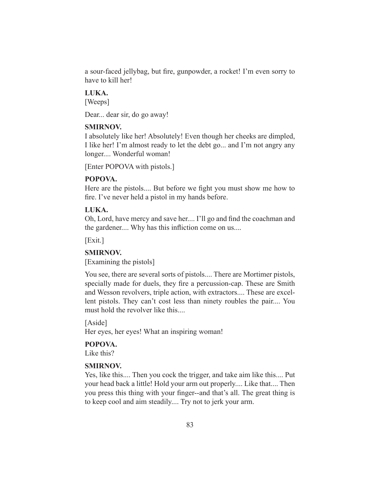a sour-faced jellybag, but fire, gunpowder, a rocket! I'm even sorry to have to kill her!

# **LUKA.**

[Weeps]

Dear... dear sir, do go away!

## **SMIRNOV.**

I absolutely like her! Absolutely! Even though her cheeks are dimpled, I like her! I'm almost ready to let the debt go... and I'm not angry any longer.... Wonderful woman!

[Enter POPOVA with pistols.]

## **POPOVA.**

Here are the pistols.... But before we fight you must show me how to fire. I've never held a pistol in my hands before.

# **LUKA.**

Oh, Lord, have mercy and save her.... I'll go and find the coachman and the gardener.... Why has this infliction come on us....

[Exit.]

# **SMIRNOV.**

[Examining the pistols]

You see, there are several sorts of pistols.... There are Mortimer pistols, specially made for duels, they fire a percussion-cap. These are Smith and Wesson revolvers, triple action, with extractors.... These are excellent pistols. They can't cost less than ninety roubles the pair.... You must hold the revolver like this....

[Aside]

Her eyes, her eyes! What an inspiring woman!

# **POPOVA.**

Like this?

# **SMIRNOV.**

Yes, like this.... Then you cock the trigger, and take aim like this.... Put your head back a little! Hold your arm out properly.... Like that.... Then you press this thing with your finger--and that's all. The great thing is to keep cool and aim steadily.... Try not to jerk your arm.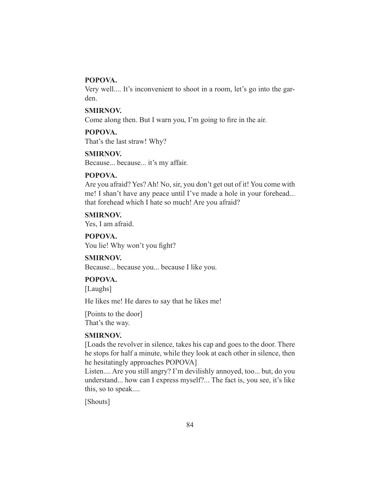# **POPOVA.**

Very well.... It's inconvenient to shoot in a room, let's go into the garden.

## **SMIRNOV.**

Come along then. But I warn you, I'm going to fire in the air.

#### **POPOVA.**

That's the last straw! Why?

## **SMIRNOV.**

Because... because... it's my affair.

# **POPOVA.**

Are you afraid? Yes? Ah! No, sir, you don't get out of it! You come with me! I shan't have any peace until I've made a hole in your forehead... that forehead which I hate so much! Are you afraid?

## **SMIRNOV.**

Yes, I am afraid.

**POPOVA.**  You lie! Why won't you fight?

**SMIRNOV.** Because... because you... because I like you.

**POPOVA.**  [Laughs]

He likes me! He dares to say that he likes me!

[Points to the door] That's the way.

## **SMIRNOV.**

[Loads the revolver in silence, takes his cap and goes to the door. There he stops for half a minute, while they look at each other in silence, then he hesitatingly approaches POPOVA]

Listen.... Are you still angry? I'm devilishly annoyed, too... but, do you understand... how can I express myself?... The fact is, you see, it's like this, so to speak....

[Shouts]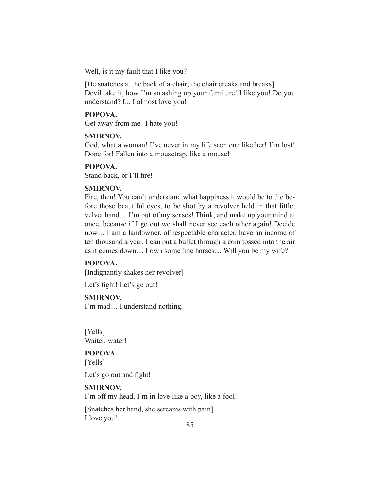Well, is it my fault that I like you?

[He snatches at the back of a chair; the chair creaks and breaks] Devil take it, how I'm smashing up your furniture! I like you! Do you understand? I... I almost love you!

# **POPOVA.**

Get away from me--I hate you!

# **SMIRNOV.**

God, what a woman! I've never in my life seen one like her! I'm lost! Done for! Fallen into a mousetrap, like a mouse!

# **POPOVA.**

Stand back, or I'll fire!

# **SMIRNOV.**

Fire, then! You can't understand what happiness it would be to die before those beautiful eyes, to be shot by a revolver held in that little, velvet hand.... I'm out of my senses! Think, and make up your mind at once, because if I go out we shall never see each other again! Decide now.... I am a landowner, of respectable character, have an income of ten thousand a year. I can put a bullet through a coin tossed into the air as it comes down.... I own some fine horses.... Will you be my wife?

# **POPOVA.**

[Indignantly shakes her revolver]

Let's fight! Let's go out!

## **SMIRNOV.**

I'm mad.... I understand nothing.

[Yells] Waiter, water!

**POPOVA.**

[Yells]

Let's go out and fight!

### **SMIRNOV.**

I'm off my head, I'm in love like a boy, like a fool!

[Snatches her hand, she screams with pain] I love you!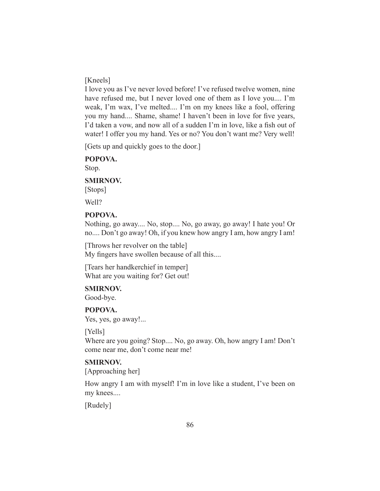[Kneels]

I love you as I've never loved before! I've refused twelve women, nine have refused me, but I never loved one of them as I love you.... I'm weak, I'm wax, I've melted.... I'm on my knees like a fool, offering you my hand.... Shame, shame! I haven't been in love for five years, I'd taken a vow, and now all of a sudden I'm in love, like a fish out of water! I offer you my hand. Yes or no? You don't want me? Very well!

[Gets up and quickly goes to the door.]

**POPOVA.**

Stop.

# **SMIRNOV.**

[Stops]

Well?

# **POPOVA.**

Nothing, go away.... No, stop.... No, go away, go away! I hate you! Or no.... Don't go away! Oh, if you knew how angry I am, how angry I am!

[Throws her revolver on the table] My fingers have swollen because of all this....

[Tears her handkerchief in temper] What are you waiting for? Get out!

### **SMIRNOV.**

Good-bye.

# **POPOVA.**

Yes, yes, go away!...

# [Yells]

Where are you going? Stop.... No, go away. Oh, how angry I am! Don't come near me, don't come near me!

# **SMIRNOV.**

[Approaching her]

How angry I am with myself! I'm in love like a student, I've been on my knees....

[Rudely]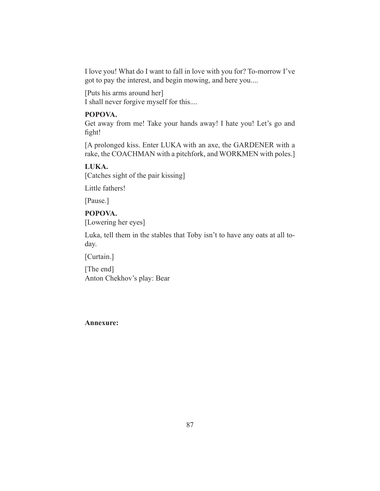I love you! What do I want to fall in love with you for? To-morrow I've got to pay the interest, and begin mowing, and here you....

[Puts his arms around her] I shall never forgive myself for this....

# **POPOVA.**

Get away from me! Take your hands away! I hate you! Let's go and fight!

[A prolonged kiss. Enter LUKA with an axe, the GARDENER with a rake, the COACHMAN with a pitchfork, and WORKMEN with poles.]

# **LUKA.**

[Catches sight of the pair kissing]

Little fathers!

[Pause.]

# **POPOVA.**

[Lowering her eyes]

Luka, tell them in the stables that Toby isn't to have any oats at all today.

[Curtain.]

[The end] Anton Chekhov's play: Bear

**Annexure:**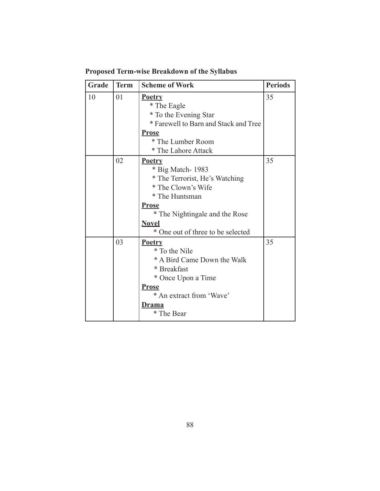| Grade | <b>Term</b> | <b>Scheme of Work</b>                 | <b>Periods</b> |
|-------|-------------|---------------------------------------|----------------|
| 10    | 01          | <u>Poetry</u>                         | 35             |
|       |             | * The Eagle                           |                |
|       |             | * To the Evening Star                 |                |
|       |             | * Farewell to Barn and Stack and Tree |                |
|       |             | <u>Prose</u>                          |                |
|       |             | * The Lumber Room                     |                |
|       |             | * The Lahore Attack                   |                |
|       | 02          | <b>Poetry</b>                         | 35             |
|       |             | * Big Match-1983                      |                |
|       |             | * The Terrorist, He's Watching        |                |
|       |             | * The Clown's Wife                    |                |
|       |             | * The Huntsman                        |                |
|       |             | <b>Prose</b>                          |                |
|       |             | * The Nightingale and the Rose        |                |
|       |             | <b>Novel</b>                          |                |
|       |             | * One out of three to be selected     |                |
|       | 03          | <b>Poetry</b>                         | 35             |
|       |             | * To the Nile                         |                |
|       |             | * A Bird Came Down the Walk           |                |
|       |             | * Breakfast                           |                |
|       |             | * Once Upon a Time                    |                |
|       |             | <b>Prose</b>                          |                |
|       |             | * An extract from 'Wave'              |                |
|       |             | <b>Drama</b>                          |                |
|       |             | * The Bear                            |                |

**Proposed Term-wise Breakdown of the Syllabus**